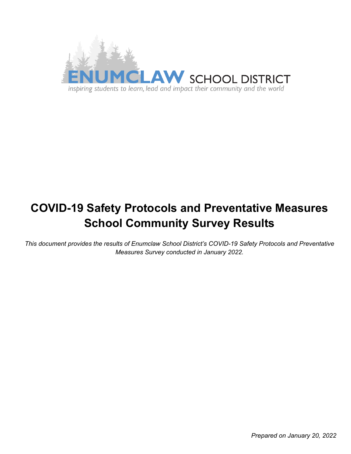

# **COVID-19 Safety Protocols and Preventative Measures School Community Survey Results**

*This document provides the results of Enumclaw School District's COVID-19 Safety Protocols and Preventative Measures Survey conducted in January 2022.*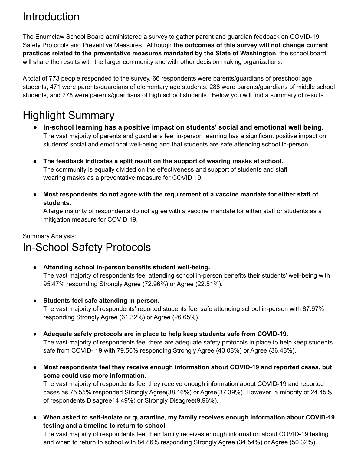# Introduction

The Enumclaw School Board administered a survey to gather parent and guardian feedback on COVID-19 Safety Protocols and Preventive Measures. Although **the outcomes of this survey will not change current practices related to the preventative measures mandated by the State of Washington**, the school board will share the results with the larger community and with other decision making organizations.

A total of 773 people responded to the survey. 66 respondents were parents/guardians of preschool age students, 471 were parents/guardians of elementary age students, 288 were parents/guardians of middle school students, and 278 were parents/guardians of high school students. Below you will find a summary of results.

# Highlight Summary

- **In-school learning has a positive impact on students' social and emotional well being.** The vast majority of parents and guardians feel in-person learning has a significant positive impact on students' social and emotional well-being and that students are safe attending school in-person.
- **The feedback indicates a split result on the support of wearing masks at school.** The community is equally divided on the effectiveness and support of students and staff wearing masks as a preventative measure for COVID 19.
- **Most respondents do not agree with the requirement of a vaccine mandate for either staff of students.**

A large majority of respondents do not agree with a vaccine mandate for either staff or students as a mitigation measure for COVID 19.

## Summary Analysis: In-School Safety Protocols

- **Attending school in-person benefits student well-being.** The vast majority of respondents feel attending school in-person benefits their students' well-being with 95.47% responding Strongly Agree (72.96%) or Agree (22.51%).
- **Students feel safe attending in-person.**

The vast majority of respondents' reported students feel safe attending school in-person with 87.97% responding Strongly Agree (61.32%) or Agree (26.65%).

- **Adequate safety protocols are in place to help keep students safe from COVID-19.** The vast majority of respondents feel there are adequate safety protocols in place to help keep students safe from COVID- 19 with 79.56% responding Strongly Agree (43.08%) or Agree (36.48%).
- **Most respondents feel they receive enough information about COVID-19 and reported cases, but some could use more information.**

The vast majority of respondents feel they receive enough information about COVID-19 and reported cases as 75.55% responded Strongly Agree(38.16%) or Agree(37.39%). However, a minority of 24.45% of respondents Disagree14.49%) or Strongly Disagree(9.96%).

**● When asked to self-isolate or quarantine, my family receives enough information about COVID-19 testing and a timeline to return to school.**

The vast majority of respondents feel their family receives enough information about COVID-19 testing and when to return to school with 84.86% responding Strongly Agree (34.54%) or Agree (50.32%).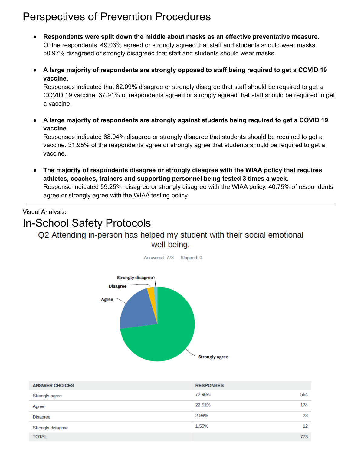## Perspectives of Prevention Procedures

- **Respondents were split down the middle about masks as an effective preventative measure.** Of the respondents, 49.03% agreed or strongly agreed that staff and students should wear masks. 50.97% disagreed or strongly disagreed that staff and students should wear masks.
- **A large majority of respondents are strongly opposed to staff being required to get a COVID 19 vaccine.**

Responses indicated that 62.09% disagree or strongly disagree that staff should be required to get a COVID 19 vaccine. 37.91% of respondents agreed or strongly agreed that staff should be required to get a vaccine.

**● A large majority of respondents are strongly against students being required to get a COVID 19 vaccine.**

Responses indicated 68.04% disagree or strongly disagree that students should be required to get a vaccine. 31.95% of the respondents agree or strongly agree that students should be required to get a vaccine.

**● The majority of respondents disagree or strongly disagree with the WIAA policy that requires athletes, coaches, trainers and supporting personnel being tested 3 times a week.** Response indicated 59.25% disagree or strongly disagree with the WIAA policy. 40.75% of respondents agree or strongly agree with the WIAA testing policy.

Visual Analysis:

# In-School Safety Protocols

### Q2 Attending in-person has helped my student with their social emotional well-being.



| <b>ANSWER CHOICES</b> | <b>RESPONSES</b> |     |
|-----------------------|------------------|-----|
| Strongly agree        | 72.96%           | 564 |
| Agree                 | 22.51%           | 174 |
| Disagree              | 2.98%            | 23  |
| Strongly disagree     | 1.55%            | 12  |
| <b>TOTAL</b>          |                  | 773 |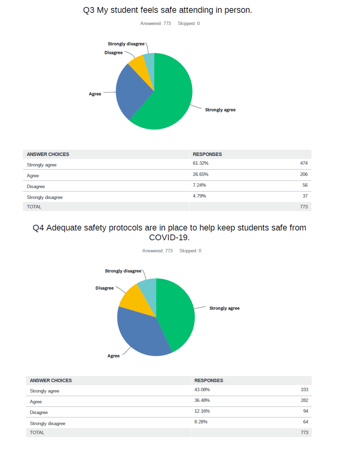## Q3 My student feels safe attending in person.

Answered: 773 Skipped: 0



| <b>ANSWER CHOICES</b> | <b>RESPONSES</b> |     |
|-----------------------|------------------|-----|
| Strongly agree        | 61.32%           | 474 |
| Agree                 | 26.65%           | 206 |
| <b>Disagree</b>       | 7.24%            | 56  |
| Strongly disagree     | 4.79%            | 37  |
| <b>TOTAL</b>          |                  | 773 |

### Q4 Adequate safety protocols are in place to help keep students safe from COVID-19.



| <b>ANSWER CHOICES</b> | <b>RESPONSES</b> |     |
|-----------------------|------------------|-----|
| Strongly agree        | 43.08%           | 333 |
| Agree                 | 36,48%           | 282 |
| <b>Disagree</b>       | 12.16%           | 94  |
| Strongly disagree     | 8.28%            | 64  |
| <b>TOTAL</b>          |                  | 773 |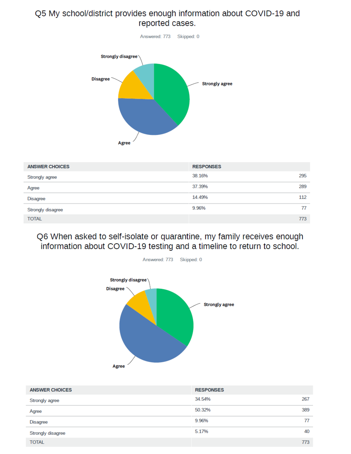### Q5 My school/district provides enough information about COVID-19 and reported cases.



| <b>ANSWER CHOICES</b> | <b>RESPONSES</b> |     |
|-----------------------|------------------|-----|
| Strongly agree        | 38.16%           | 295 |
| Agree                 | 37.39%           | 289 |
| <b>Disagree</b>       | 14.49%           | 112 |
| Strongly disagree     | 9.96%            | 77  |
| <b>TOTAL</b>          |                  | 773 |

Q6 When asked to self-isolate or quarantine, my family receives enough information about COVID-19 testing and a timeline to return to school.



| <b>ANSWER CHOICES</b> | <b>RESPONSES</b> |     |
|-----------------------|------------------|-----|
| Strongly agree        | 34.54%           | 267 |
| Agree                 | 50.32%           | 389 |
| <b>Disagree</b>       | 9.96%            | 77  |
| Strongly disagree     | 5.17%            | 40  |
| <b>TOTAL</b>          |                  | 773 |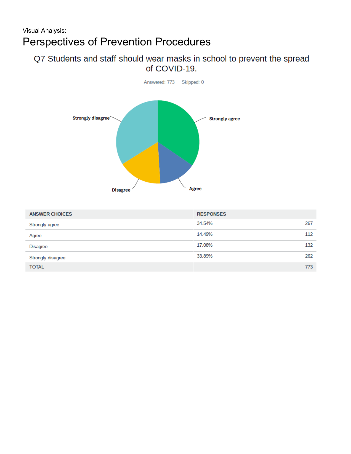### Q7 Students and staff should wear masks in school to prevent the spread of COVID-19.



| <b>ANSWER CHOICES</b> | <b>RESPONSES</b> |     |
|-----------------------|------------------|-----|
| Strongly agree        | 34.54%           | 267 |
| Agree                 | 14.49%           | 112 |
| <b>Disagree</b>       | 17.08%           | 132 |
| Strongly disagree     | 33.89%           | 262 |
| <b>TOTAL</b>          |                  | 773 |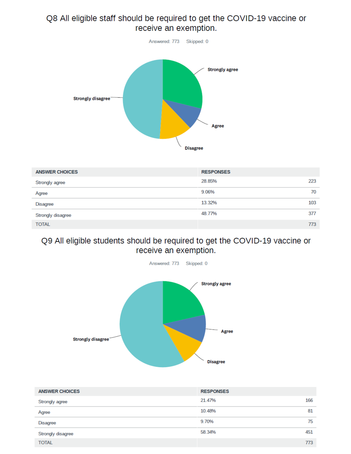## Q8 All eligible staff should be required to get the COVID-19 vaccine or receive an exemption.



| <b>ANSWER CHOICES</b> | <b>RESPONSES</b> |     |
|-----------------------|------------------|-----|
| Strongly agree        | 28.85%           | 223 |
| Agree                 | 9.06%            | 70  |
| <b>Disagree</b>       | 13.32%           | 103 |
| Strongly disagree     | 48.77%           | 377 |
| <b>TOTAL</b>          |                  | 773 |

### Q9 All eligible students should be required to get the COVID-19 vaccine or receive an exemption.



| <b>ANSWER CHOICES</b> | <b>RESPONSES</b> |     |
|-----------------------|------------------|-----|
| Strongly agree        | 21.47%           | 166 |
| Agree                 | 10.48%           | 81  |
| <b>Disagree</b>       | 9.70%            | 75  |
| Strongly disagree     | 58.34%           | 451 |
| <b>TOTAL</b>          |                  | 773 |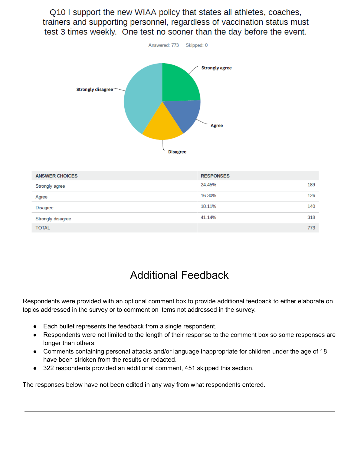Q10 I support the new WIAA policy that states all athletes, coaches, trainers and supporting personnel, regardless of vaccination status must test 3 times weekly. One test no sooner than the day before the event.



| <b>ANSWER CHOICES</b> | <b>RESPONSES</b> |     |
|-----------------------|------------------|-----|
| Strongly agree        | 24.45%           | 189 |
| Agree                 | 16.30%           | 126 |
| <b>Disagree</b>       | 18.11%           | 140 |
| Strongly disagree     | 41.14%           | 318 |
| <b>TOTAL</b>          |                  | 773 |

## Additional Feedback

Respondents were provided with an optional comment box to provide additional feedback to either elaborate on topics addressed in the survey or to comment on items not addressed in the survey.

- Each bullet represents the feedback from a single respondent.
- Respondents were not limited to the length of their response to the comment box so some responses are longer than others.
- Comments containing personal attacks and/or language inappropriate for children under the age of 18 have been stricken from the results or redacted.
- 322 respondents provided an additional comment, 451 skipped this section.

The responses below have not been edited in any way from what respondents entered.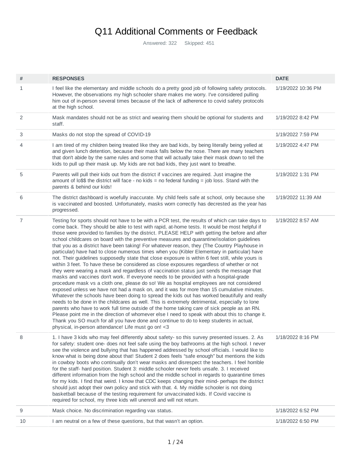## Q11 Additional Comments or Feedback

Answered: 322 Skipped: 451

| #  | <b>RESPONSES</b>                                                                                                                                                                                                                                                                                                                                                                                                                                                                                                                                                                                                                                                                                                                                                                                                                                                                                                                                                                                                                                                                                                                                                                                                                                                                                                                                                                                                                                                                                                                                                                                                                                                                                                                         | <b>DATE</b>        |
|----|------------------------------------------------------------------------------------------------------------------------------------------------------------------------------------------------------------------------------------------------------------------------------------------------------------------------------------------------------------------------------------------------------------------------------------------------------------------------------------------------------------------------------------------------------------------------------------------------------------------------------------------------------------------------------------------------------------------------------------------------------------------------------------------------------------------------------------------------------------------------------------------------------------------------------------------------------------------------------------------------------------------------------------------------------------------------------------------------------------------------------------------------------------------------------------------------------------------------------------------------------------------------------------------------------------------------------------------------------------------------------------------------------------------------------------------------------------------------------------------------------------------------------------------------------------------------------------------------------------------------------------------------------------------------------------------------------------------------------------------|--------------------|
| 1  | I feel like the elementary and middle schools do a pretty good job of following safety protocols.<br>However, the observations my high schooler share makes me worry. I've considered pulling<br>him out of in-person several times because of the lack of adherence to covid safety protocols<br>at the high school.                                                                                                                                                                                                                                                                                                                                                                                                                                                                                                                                                                                                                                                                                                                                                                                                                                                                                                                                                                                                                                                                                                                                                                                                                                                                                                                                                                                                                    | 1/19/2022 10:36 PM |
| 2  | Mask mandates should not be as strict and wearing them should be optional for students and<br>staff.                                                                                                                                                                                                                                                                                                                                                                                                                                                                                                                                                                                                                                                                                                                                                                                                                                                                                                                                                                                                                                                                                                                                                                                                                                                                                                                                                                                                                                                                                                                                                                                                                                     | 1/19/2022 8:42 PM  |
| 3  | Masks do not stop the spread of COVID-19                                                                                                                                                                                                                                                                                                                                                                                                                                                                                                                                                                                                                                                                                                                                                                                                                                                                                                                                                                                                                                                                                                                                                                                                                                                                                                                                                                                                                                                                                                                                                                                                                                                                                                 | 1/19/2022 7:59 PM  |
| 4  | I am tired of my children being treated like they are bad kids, by being literally being yelled at<br>and given lunch detention, because their mask falls below the nose. There are many teachers<br>that don't abide by the same rules and some that will actually take their mask down to tell the<br>kids to pull up their mask up. My kids are not bad kids, they just want to breathe.                                                                                                                                                                                                                                                                                                                                                                                                                                                                                                                                                                                                                                                                                                                                                                                                                                                                                                                                                                                                                                                                                                                                                                                                                                                                                                                                              | 1/19/2022 4:47 PM  |
| 5  | Parents will pull their kids out from the district if vaccines are required. Just imagine the<br>amount of lo\$\$ the district will face - no kids = no federal funding = job loss. Stand with the<br>parents & behind our kids!                                                                                                                                                                                                                                                                                                                                                                                                                                                                                                                                                                                                                                                                                                                                                                                                                                                                                                                                                                                                                                                                                                                                                                                                                                                                                                                                                                                                                                                                                                         | 1/19/2022 1:31 PM  |
| 6  | The district dashboard is woefully inaccurate. My child feels safe at school, only because she<br>is vaccinated and boosted. Unfortunately, masks worn correctly has decrested as the year has<br>progressed.                                                                                                                                                                                                                                                                                                                                                                                                                                                                                                                                                                                                                                                                                                                                                                                                                                                                                                                                                                                                                                                                                                                                                                                                                                                                                                                                                                                                                                                                                                                            | 1/19/2022 11:39 AM |
| 7  | Testing for sports should not have to be with a PCR test, the results of which can take days to<br>come back. They should be able to test with rapid, at-home tests. It would be most helpful if<br>those were provided to families by the district. PLEASE HELP with getting the before and after<br>school childcares on board with the preventive measures and quarantine/isolation guidelines<br>that you as a district have been taking! For whatever reason, they (The Country Playhouse in<br>particular) have had to close numerous times when you (Kibler Elementary in particular) have<br>not. Their guidelines supposedly state that close exposure is within 6 feet still, while yours is<br>within 3 feet. To have these be considered as close exposures regardless of whether or not<br>they were wearing a mask and regardless of vaccination status just sends the message that<br>masks and vaccines don't work. If everyone needs to be provided with a hospital-grade<br>procedure mask vs a cloth one, please do so! We as hospital employees are not considered<br>exposed unless we have not had a mask on, and it was for more than 15 cumulative minutes.<br>Whatever the schools have been doing to spread the kids out has worked beautifully and really<br>needs to be done in the childcares as well. This is extremely detrimental, especially to lone<br>parents who have to work full time outside of the home taking care of sick people as an RN.<br>Please point me in the direction of whomever else I need to speak with about this to change it.<br>Thank you SO much for all you have done and continue to do to keep students in actual,<br>physical, in-person attendance! Life must go on! <3 | 1/19/2022 8:57 AM  |
| 8  | 1. I have 3 kids who may feel differently about safety-so this survey presented issues. 2. As<br>for safety: student one- does not feel safe using the boy bathrooms at the high school. I never<br>see the violence and bullying that has happened addressed by school officials. I would like to<br>know what is being done about that! Student 2 does feels "safe enough" but mentions the kids<br>in cowboy boots who continually don't wear masks and disrespect the teachers. I feel horrible<br>for the staff- hard position. Student 3: middle schooler never feels unsafe. 3. I received<br>different information from the high school and the middle school in regards to quarantine times<br>for my kids. I find that weird. I know that CDC keeps changing their mind- perhaps the district<br>should just adopt their own policy and stick with that. 4. My middle schooler is not doing<br>basketball because of the testing requirement for unvaccinated kids. If Covid vaccine is<br>required for school, my three kids will unenroll and will not return.                                                                                                                                                                                                                                                                                                                                                                                                                                                                                                                                                                                                                                                               | 1/18/2022 8:16 PM  |
| 9  | Mask choice. No discrimination regarding vax status.                                                                                                                                                                                                                                                                                                                                                                                                                                                                                                                                                                                                                                                                                                                                                                                                                                                                                                                                                                                                                                                                                                                                                                                                                                                                                                                                                                                                                                                                                                                                                                                                                                                                                     | 1/18/2022 6:52 PM  |
| 10 | I am neutral on a few of these questions, but that wasn't an option.                                                                                                                                                                                                                                                                                                                                                                                                                                                                                                                                                                                                                                                                                                                                                                                                                                                                                                                                                                                                                                                                                                                                                                                                                                                                                                                                                                                                                                                                                                                                                                                                                                                                     | 1/18/2022 6:50 PM  |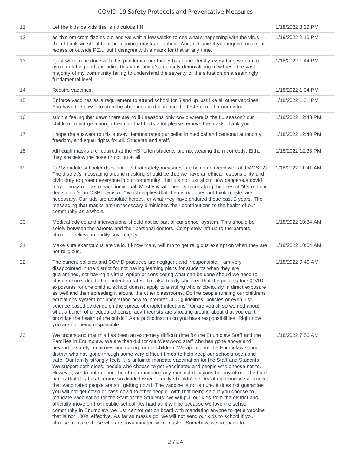| 11 | Let the kids be kids this is ridiculous!!!!!                                                                                                                                                                                                                                                                                                                                                                                                                                                                                                                                                                                                                                                                                                                                                                                                                                                                                                                                                                                                                                                                                                                                                                                                                                                                                                                                                                                                               | 1/18/2022 3:22 PM  |
|----|------------------------------------------------------------------------------------------------------------------------------------------------------------------------------------------------------------------------------------------------------------------------------------------------------------------------------------------------------------------------------------------------------------------------------------------------------------------------------------------------------------------------------------------------------------------------------------------------------------------------------------------------------------------------------------------------------------------------------------------------------------------------------------------------------------------------------------------------------------------------------------------------------------------------------------------------------------------------------------------------------------------------------------------------------------------------------------------------------------------------------------------------------------------------------------------------------------------------------------------------------------------------------------------------------------------------------------------------------------------------------------------------------------------------------------------------------------|--------------------|
| 12 | as this omicrom fizzles out and we wait a few weeks to see what's happening with the virus---<br>then I think we should not be requiring masks at school. And, not sure if you require masks at<br>recess or outside PE but I disagree with a mask for that at any time.                                                                                                                                                                                                                                                                                                                                                                                                                                                                                                                                                                                                                                                                                                                                                                                                                                                                                                                                                                                                                                                                                                                                                                                   | 1/18/2022 2:16 PM  |
| 13 | I just want to be done with this pandemic, our family has done literally everything we can to<br>avoid catching and spreading this virus and it's intensely demoralizing to witness the vast<br>majority of my community failing to understand the severity of the situation on a seemingly<br>fundamental level.                                                                                                                                                                                                                                                                                                                                                                                                                                                                                                                                                                                                                                                                                                                                                                                                                                                                                                                                                                                                                                                                                                                                          | 1/18/2022 1:44 PM  |
| 14 | Require vaccines.                                                                                                                                                                                                                                                                                                                                                                                                                                                                                                                                                                                                                                                                                                                                                                                                                                                                                                                                                                                                                                                                                                                                                                                                                                                                                                                                                                                                                                          | 1/18/2022 1:34 PM  |
| 15 | Enforce vaccines as a requirement to attend school for 5 and up just like all other vaccines.<br>You have the power to stop the absences and increase the test scores for our district.                                                                                                                                                                                                                                                                                                                                                                                                                                                                                                                                                                                                                                                                                                                                                                                                                                                                                                                                                                                                                                                                                                                                                                                                                                                                    | 1/18/2022 1:31 PM  |
| 16 | such a feeling that dawn there are no flu seasons only covid where is the flu season? our<br>children do not get enough fresh air that hurts a lot please remove the mask. thank you.                                                                                                                                                                                                                                                                                                                                                                                                                                                                                                                                                                                                                                                                                                                                                                                                                                                                                                                                                                                                                                                                                                                                                                                                                                                                      | 1/18/2022 12:48 PM |
| 17 | I hope the answers to this survey demonstrates our belief in medical and personal autonomy,<br>freedom, and equal rights for all. Students and staff.                                                                                                                                                                                                                                                                                                                                                                                                                                                                                                                                                                                                                                                                                                                                                                                                                                                                                                                                                                                                                                                                                                                                                                                                                                                                                                      | 1/18/2022 12:40 PM |
| 18 | Although masks are required at the HS, often students are not wearing them correctly. Either<br>they are below the nose or not on at all.                                                                                                                                                                                                                                                                                                                                                                                                                                                                                                                                                                                                                                                                                                                                                                                                                                                                                                                                                                                                                                                                                                                                                                                                                                                                                                                  | 1/18/2022 12:38 PM |
| 19 | 1) My middle schooler does not feel that safety measures are being enforced well at TMMS. 2)<br>The district's messaging around masking should be that we have an ethical responsibility and<br>civic duty to protect everyone in our community; that it's not just about how dangerous covid<br>may or may not be to each individual. Mostly what I hear is more along the lines of "it's not our<br>decision, it's an OSPI decision," which implies that the district does not think masks are<br>necessary. Our kids are absolute heroes for what they have endured these past 2 years. The<br>messaging that masks are unnecessary diminishes their contributions to the health of our<br>community as a whole.                                                                                                                                                                                                                                                                                                                                                                                                                                                                                                                                                                                                                                                                                                                                        | 1/18/2022 11:41 AM |
| 20 | Medical advice and interventions should not be part of our school system. This should be<br>solely between the parents and their personal doctors. Completely left up to the parents<br>choice. I believe in bodily sovereignty.                                                                                                                                                                                                                                                                                                                                                                                                                                                                                                                                                                                                                                                                                                                                                                                                                                                                                                                                                                                                                                                                                                                                                                                                                           | 1/18/2022 10:34 AM |
| 21 | Make sure exemptions are valid. I know many will run to get religious exemption when they are<br>not religious.                                                                                                                                                                                                                                                                                                                                                                                                                                                                                                                                                                                                                                                                                                                                                                                                                                                                                                                                                                                                                                                                                                                                                                                                                                                                                                                                            | 1/18/2022 10:04 AM |
| 22 | The current policies and COVID practices are negligent and irresponsible. I am very<br>disappointed in the district for not having learning plans for students when they are<br>quarantined, not having a virtual option or considering what can be done should we need to<br>close schools due to high infection rates. I'm also totally shocked that the policies for COVID<br>exposures for one child at school doesn't apply to a sibling who is obviously in direct exposure<br>as well and then spreading it around the other classrooms. Do the people running our childrens<br>educations system not understand how to interpret CDC guidelines, policies or even just<br>science based evidence on the spread of droplet infections? Or are you all so worried about<br>what a bunch of uneducated conspiracy theorists are shouting around about that you can't<br>prioritize the health of the public? As a public institution you have responsibilities. Right now,<br>you are not being responsible.                                                                                                                                                                                                                                                                                                                                                                                                                                          | 1/18/2022 9:46 AM  |
| 23 | We understand that this has been an extremely difficult time for the Enumclaw Staff and the<br>Families in Enumclaw. We are thankful for our Westwood staff who has gone above and<br>beyond in safety measures and caring for our children. We appreciate the Enumclaw school<br>district who has gone through some very difficult times to help keep our schools open and<br>safe. Our family strongly feels it is unfair to mandate vaccination for the Staff and Students.<br>We support both sides, people who choose to get vaccinated and people who choose not to.<br>However, we do not support the state mandating any medical decisions for any of us. The hard<br>part is that this has become so divided when it really shouldn't be. As of right now we all know<br>that vaccinated people are still getting covid. The vaccine is not a cure, it does not guarantee<br>you will not get covid or pass covid to other people. With that being said If you choose to<br>mandate vaccination for the Staff or the Students, we will pull our kids from the district and<br>officially move on from public school. As hard as it will be because we love the school<br>community in Enumclaw, we just cannot get on board with mandating anyone to get a vaccine<br>that is not 100% effective. As far as masks go, we will not send our kids to school if you<br>choose to make those who are unvaccinated wear masks. Somehow, we are back to | 1/18/2022 7:50 AM  |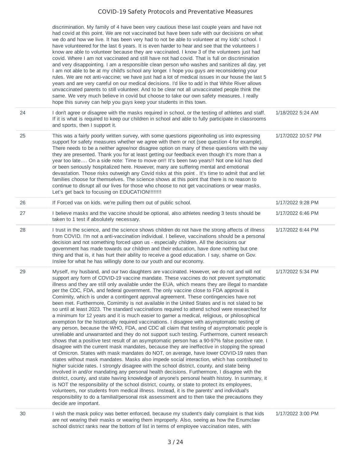|    | discrimination. My family of 4 have been very cautious these last couple years and have not<br>had covid at this point. We are not vaccinated but have been safe with our decisions on what<br>we do and how we live. It has been very had to not be able to volunteer at my kids' school. I<br>have volunteered for the last 6 years. It is even harder to hear and see that the volunteers I<br>know are able to volunteer because they are vaccinated. I know 3 of the volunteers just had<br>covid. Where I am not vaccinated and still have not had covid. That is full on discrimination<br>and very disappointing. I am a responsible clean person who washes and sanitizes all day, yet<br>I am not able to be at my child's school any longer. I hope you guys are reconsidering your<br>rules. We are not anti-vaccine; we have just had a lot of medical issues in our house the last 5<br>years and are very careful on our medical decisions. I'd like to add in that White River allows<br>unvaccinated parents to still volunteer. And to be clear not all unvaccinated people think the<br>same. We very much believe in covid but choose to take our own safety measures. I really<br>hope this survey can help you guys keep your students in this town.                                                                                                                                                                                                                                                                                                                                                                                                                                                                                                                                                                                                                                                                                                                                                                                                                                    |                    |
|----|---------------------------------------------------------------------------------------------------------------------------------------------------------------------------------------------------------------------------------------------------------------------------------------------------------------------------------------------------------------------------------------------------------------------------------------------------------------------------------------------------------------------------------------------------------------------------------------------------------------------------------------------------------------------------------------------------------------------------------------------------------------------------------------------------------------------------------------------------------------------------------------------------------------------------------------------------------------------------------------------------------------------------------------------------------------------------------------------------------------------------------------------------------------------------------------------------------------------------------------------------------------------------------------------------------------------------------------------------------------------------------------------------------------------------------------------------------------------------------------------------------------------------------------------------------------------------------------------------------------------------------------------------------------------------------------------------------------------------------------------------------------------------------------------------------------------------------------------------------------------------------------------------------------------------------------------------------------------------------------------------------------------------------------------------------------------------------------------------------------|--------------------|
| 24 | I don't agree or disagree with the masks required in school, or the testing of athletes and staff.<br>If it is what is required to keep our children in school and able to fully participate in classrooms<br>and sports, then I support it.                                                                                                                                                                                                                                                                                                                                                                                                                                                                                                                                                                                                                                                                                                                                                                                                                                                                                                                                                                                                                                                                                                                                                                                                                                                                                                                                                                                                                                                                                                                                                                                                                                                                                                                                                                                                                                                                  | 1/18/2022 5:24 AM  |
| 25 | This was a fairly poorly written survey, with some questions pigeonholing us into expressing<br>support for safety measures whether we agree with them or not (see question 4 for example).<br>There needs to be a neither agree/nor disagree option on many of these questions with the way<br>they are presented. Thank you for at least getting our feedback even though it's more than a<br>year too late On a side note: Time to move on!! It's been two years!! Not one kid has died<br>or been seriously hospitalized here. However, many are suffering mental and emotional<br>devastation. Those risks outweigh any Covid risks at this point . It's time to admit that and let<br>families choose for themselves. The science shows at this point that there is no reason to<br>continue to disrupt all our lives for those who choose to not get vaccinations or wear masks.<br>Let's get back to focusing on EDUCATION!!!!!!!!                                                                                                                                                                                                                                                                                                                                                                                                                                                                                                                                                                                                                                                                                                                                                                                                                                                                                                                                                                                                                                                                                                                                                                    | 1/17/2022 10:57 PM |
| 26 | If Forced vax on kids, we're pulling them out of public school.                                                                                                                                                                                                                                                                                                                                                                                                                                                                                                                                                                                                                                                                                                                                                                                                                                                                                                                                                                                                                                                                                                                                                                                                                                                                                                                                                                                                                                                                                                                                                                                                                                                                                                                                                                                                                                                                                                                                                                                                                                               | 1/17/2022 9:28 PM  |
| 27 | I believe masks and the vaccine should be optional, also athletes needing 3 tests should be<br>taken to 1 test if absolutely necessary.                                                                                                                                                                                                                                                                                                                                                                                                                                                                                                                                                                                                                                                                                                                                                                                                                                                                                                                                                                                                                                                                                                                                                                                                                                                                                                                                                                                                                                                                                                                                                                                                                                                                                                                                                                                                                                                                                                                                                                       | 1/17/2022 6:46 PM  |
| 28 | I trust in the science, and the science shows children do not have the strong affects of illness<br>from COVID. I'm not a anti-vaccination individual. I believe, vaccinations should be a personal<br>decision and not something forced upon us - especially children. All the decisions our<br>government has made towards our children and their education, have done nothing but one<br>thing and that is, it has hurt their ability to receive a good education. I say, shame on Gov.<br>Inslee for what he has willingly done to our youth and our economy.                                                                                                                                                                                                                                                                                                                                                                                                                                                                                                                                                                                                                                                                                                                                                                                                                                                                                                                                                                                                                                                                                                                                                                                                                                                                                                                                                                                                                                                                                                                                             | 1/17/2022 6:44 PM  |
| 29 | Myself, my husband, and our two daughters are vaccinated. However, we do not and will not<br>support any form of COVID-19 vaccine mandate. These vaccines do not prevent symptomatic<br>illness and they are still only available under the EUA, which means they are illegal to mandate<br>per the CDC, FDA, and federal government. The only vaccine close to FDA approval is<br>Comirnity, which is under a contingent approval agreement. These contingencies have not<br>been met. Furthermore, Comirnity is not available in the United States and is not slated to be<br>so until at least 2023. The standard vaccinations required to attend school were researched for<br>a minimum for 12 years and it is much easier to garner a medical, religious, or philosophical<br>exemption for the historically required vaccinations. I disagree with asymptomatic testing of<br>any person, because the WHO, FDA, and CDC all claim that testing of asymptomatic people is<br>unreliable and unwarranted and they do not support such testing. Furthermore, current research<br>shows that a positive test result of an asymptomatic person has a 90-97% false positive rate. I<br>disagree with the current mask mandates, because they are ineffective in stopping the spread<br>of Omicron. States with mask mandates do NOT, on average, have lower COVID-19 rates than<br>states without mask mandates. Masks also impede social interaction, which has contributed to<br>higher suicide rates. I strongly disagree with the school district, county, and state being<br>involved in and/or mandating any personal health decisions. Furthermore, I disagree with the<br>district, county, and state having knowledge of anyone's personal health history. In summary, it<br>is NOT the responsibility of the school district, county, or state to protect its employees,<br>volunteers, nor students from medical illness. Instead, it is the parents' and individual's<br>responsibility to do a familial/personal risk assessment and to then take the precautions they<br>decide are important. | 1/17/2022 5:34 PM  |
| 30 | I wish the mask policy was better enforced, because my student's daily complaint is that kids<br>are not wearing their masks or wearing them improperly. Also, seeing as how the Enumclaw                                                                                                                                                                                                                                                                                                                                                                                                                                                                                                                                                                                                                                                                                                                                                                                                                                                                                                                                                                                                                                                                                                                                                                                                                                                                                                                                                                                                                                                                                                                                                                                                                                                                                                                                                                                                                                                                                                                     | 1/17/2022 3:00 PM  |

school district ranks near the bottom of list in terms of employee vaccination rates, with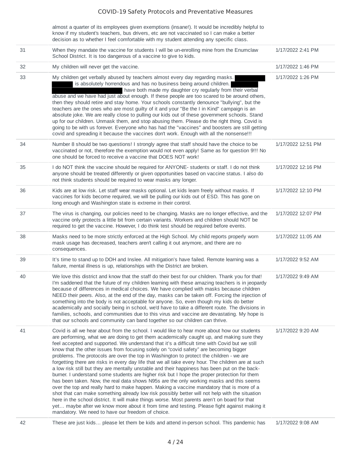almost a quarter of its employees given exemptions (insane!). It would be incredibly helpful to know if my student's teachers, bus drivers, etc are not vaccinated so I can make a better decision as to whether I feel comfortable with my student attending any specific class.

| 31 | When they mandate the vaccine for students I will be un-enrolling mine from the Enumclaw<br>School District. It is too dangerous of a vaccine to give to kids.                                                                                                                                                                                                                                                                                                                                                                                                                                                                                                                                                                                                                                                                                                                                                                                                                                                                                                                                                                                                                                                                                                                                                                        | 1/17/2022 2:41 PM  |
|----|---------------------------------------------------------------------------------------------------------------------------------------------------------------------------------------------------------------------------------------------------------------------------------------------------------------------------------------------------------------------------------------------------------------------------------------------------------------------------------------------------------------------------------------------------------------------------------------------------------------------------------------------------------------------------------------------------------------------------------------------------------------------------------------------------------------------------------------------------------------------------------------------------------------------------------------------------------------------------------------------------------------------------------------------------------------------------------------------------------------------------------------------------------------------------------------------------------------------------------------------------------------------------------------------------------------------------------------|--------------------|
| 32 | My children will never get the vaccine.                                                                                                                                                                                                                                                                                                                                                                                                                                                                                                                                                                                                                                                                                                                                                                                                                                                                                                                                                                                                                                                                                                                                                                                                                                                                                               | 1/17/2022 1:46 PM  |
| 33 | My children get verbally abused by teachers almost every day regarding masks.<br>is absolutely horrendous and has no business being around children.<br>have both made my daughter cry regularly from their verbal<br>abuse and we have had just about enough. If these people are too scared to be around others,<br>then they should retire and stay home. Your schools constantly denounce "bullying", but the<br>teachers are the ones who are most guilty of it and your "Be the I in Kind" campaign is an<br>absolute joke. We are really close to pulling our kids out of these government schools. Stand<br>up for our children. Unmask them, and stop abusing them. Please do the right thing. Covid is<br>going to be with us forever. Everyone who has had the "vaccines" and boosters are still getting<br>covid and spreading it because the vaccines don't work. Enough with all the nonsense !!!                                                                                                                                                                                                                                                                                                                                                                                                                       | 1/17/2022 1:26 PM  |
| 34 | Number 8 should be two questions! I strongly agree that staff should have the choice to be<br>vaccinated or not, therefore the exemption would not even apply! Same as for question 9!!! No<br>one should be forced to receive a vaccine that DOES NOT work!                                                                                                                                                                                                                                                                                                                                                                                                                                                                                                                                                                                                                                                                                                                                                                                                                                                                                                                                                                                                                                                                          | 1/17/2022 12:51 PM |
| 35 | I do NOT think the vaccine should be required for ANYONE- students or staff. I do not think<br>anyone should be treated differently or given opportunities based on vaccine status. I also do<br>not think students should be required to wear masks any longer.                                                                                                                                                                                                                                                                                                                                                                                                                                                                                                                                                                                                                                                                                                                                                                                                                                                                                                                                                                                                                                                                      | 1/17/2022 12:16 PM |
| 36 | Kids are at low risk. Let staff wear masks optional. Let kids learn freely without masks. If<br>vaccines for kids become required, we will be pulling our kids out of ESD. This has gone on<br>long enough and Washington state is extreme in their control.                                                                                                                                                                                                                                                                                                                                                                                                                                                                                                                                                                                                                                                                                                                                                                                                                                                                                                                                                                                                                                                                          | 1/17/2022 12:10 PM |
| 37 | The virus is changing, our policies need to be changing. Masks are no longer effective, and the<br>vaccine only protects a little bit from certain variants. Workers and children should NOT be<br>required to get the vaccine. However, I do think test should be required before events.                                                                                                                                                                                                                                                                                                                                                                                                                                                                                                                                                                                                                                                                                                                                                                                                                                                                                                                                                                                                                                            | 1/17/2022 12:07 PM |
| 38 | Masks need to be more strictly enforced at the High School. My child reports properly worn<br>mask usage has decreased, teachers aren't calling it out anymore, and there are no<br>consequences.                                                                                                                                                                                                                                                                                                                                                                                                                                                                                                                                                                                                                                                                                                                                                                                                                                                                                                                                                                                                                                                                                                                                     | 1/17/2022 11:05 AM |
| 39 | It's time to stand up to DOH and Inslee. All mitigation's have failed. Remote learning was a<br>failure, mental illness is up, relationships with the District are broken.                                                                                                                                                                                                                                                                                                                                                                                                                                                                                                                                                                                                                                                                                                                                                                                                                                                                                                                                                                                                                                                                                                                                                            | 1/17/2022 9:52 AM  |
| 40 | We love this district and know that the staff do their best for our children. Thank you for that!<br>I'm saddened that the future of my children learning with these amazing teachers is in jeopardy<br>because of differences in medical choices. We have complied with masks because children<br>NEED their peers. Also, at the end of the day, masks can be taken off. Forcing the injection of<br>something into the body is not acceptable for anyone. So, even though my kids do better<br>academically and socially being in school, we'd have to take a different route. The divisions in<br>families, schools, and communities due to this virus and vaccine are devastating. My hope is<br>that our schools and community can band together so our children can thrive.                                                                                                                                                                                                                                                                                                                                                                                                                                                                                                                                                     | 1/17/2022 9:49 AM  |
| 41 | Covid is all we hear about from the school. I would like to hear more about how our students<br>are performing, what we are doing to get them academically caught up, and making sure they<br>feel accepted and supported. We understand that it's a difficult time with Covid but we still<br>know that the other issues from focusing solely on "covid safety" are becoming bigger<br>problems. The protocols are over the top in Washington to protect the children - we are<br>forgetting there are risks in every day life that we all take every hour. The children are at such<br>a low risk still but they are mentally unstable and their happiness has been put on the back-<br>burner. I understand some students are higher risk but I hope the proper protection for them<br>has been taken. Now, the real data shows N95s are the only working masks and this seems<br>over the top and really hard to make happen. Making a vaccine mandatory that is more of a<br>shot that can make something already low risk possibly better will not help with the situation<br>here in the school district. It will make things worse. Most parents aren't on board for that<br>yet maybe after we know more about it from time and testing. Please fight against making it<br>mandatory. We need to have our freedom of choice. | 1/17/2022 9:20 AM  |

42 These are just kids... please let them be kids and attend in-person school. This pandemic has 1/17/2022 9:08 AM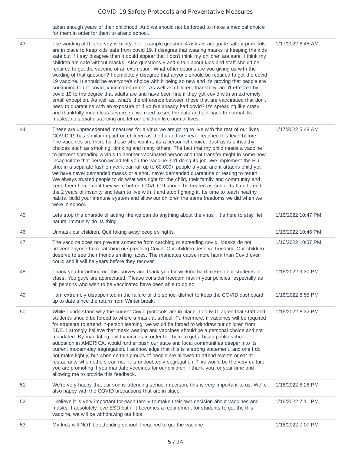taken enough years of their childhood. And we should not be forced to make a medical choice for them in order for them to attend school.

| 43 | The wording of this survey is tricky. For example question 4 asks is adequate safety protocols<br>are in place to keep kids safe from covid 19. I disagree that wearing masks is keeping the kids<br>safe but if I say disagree then it could appear that I don't think my children are safe. I think my<br>children are safe without masks. Also questions 8 and 9 talk about kids and staff should be<br>required to get the vaccine or an exemption. What other options are you giving us with the<br>wording of that question? I completely disagree that anyone should be required to get the covid<br>19 vaccine. It should be everyone's choice with it being so new and it's proving that people are<br>continuing to get covid, vaccinated or not. As well as children, thankfully, aren't effected by<br>covid 19 to the degree that adults are and have been fine if they get covid with an extremely<br>small exception. As well as, what's the difference between those that are vaccinated that don't<br>need to quarantine with an exposure or if you've already had covid? It's spreading like crazy<br>and thankfully much less severe, so we need to see the data and get back to normal. No<br>masks, no social distancing and let our children live normal lives. | 1/17/2022 8:46 AM  |
|----|---------------------------------------------------------------------------------------------------------------------------------------------------------------------------------------------------------------------------------------------------------------------------------------------------------------------------------------------------------------------------------------------------------------------------------------------------------------------------------------------------------------------------------------------------------------------------------------------------------------------------------------------------------------------------------------------------------------------------------------------------------------------------------------------------------------------------------------------------------------------------------------------------------------------------------------------------------------------------------------------------------------------------------------------------------------------------------------------------------------------------------------------------------------------------------------------------------------------------------------------------------------------------------------|--------------------|
| 44 | These are unprecedented measures for a virus we are going to live with the rest of our lives.<br>COVID 19 has similar impact on children as the flu and we never reached this level before.<br>The vaccines are there for those who want it, its a personnel choice. Just as is unhealthy<br>choices such as smoking, drinking and many others. The fact that my child needs a vaccine<br>to prevent spreading a virus to another vaccinated person and that transfer might in some how<br>incapacitate that person would tell you the vaccine isn't doing its job. We implement the Flu<br>shot in a separate fashion yet it can kill up to 60,000+ people a year, and it attacks child yet<br>we have never demanded masks or a shot. never demanded quarantine or testing to return.<br>We always trusted people to do what was right for the child, their family and community and<br>keep them home until they were better. COVID 19 should be treated as such. Its time to end<br>the 2 years of insanity and learn to live with it and stop fighting it. Its time to teach healthy<br>habits, build your immune system and allow our children the same freedoms we did when we<br>were in school.                                                                              | 1/17/2022 5:48 AM  |
| 45 | Lets stop this charade of acting like we can do anything about the virus, it's here to stay, let<br>natural immunity do its thing.                                                                                                                                                                                                                                                                                                                                                                                                                                                                                                                                                                                                                                                                                                                                                                                                                                                                                                                                                                                                                                                                                                                                                    | 1/16/2022 10:47 PM |
| 46 | Unmask our children. Quit taking away people's rights.                                                                                                                                                                                                                                                                                                                                                                                                                                                                                                                                                                                                                                                                                                                                                                                                                                                                                                                                                                                                                                                                                                                                                                                                                                | 1/16/2022 10:46 PM |
| 47 | The vaccine does not prevent someone from catching or spreading covid. Masks do not<br>prevent anyone from catching or spreading Covid. Our children deserve freedom. Our children<br>deserve to see their friends smiling faces. The mandates cause more harm than Covid ever<br>could and it will be years before they recover.                                                                                                                                                                                                                                                                                                                                                                                                                                                                                                                                                                                                                                                                                                                                                                                                                                                                                                                                                     | 1/16/2022 10:37 PM |
| 48 | Thank you for putting out this survey and thank you for working hard to keep our students in<br>class. You guys are appreciated. Please consider freedom first in your policies, especially as<br>all persons who wish to be vaccinated have been able to do so.                                                                                                                                                                                                                                                                                                                                                                                                                                                                                                                                                                                                                                                                                                                                                                                                                                                                                                                                                                                                                      | 1/16/2022 9:30 PM  |
| 49 | I am extremely disappointed in the failure of the school district to keep the COVID dashboard<br>up to date since the return from Winter break.                                                                                                                                                                                                                                                                                                                                                                                                                                                                                                                                                                                                                                                                                                                                                                                                                                                                                                                                                                                                                                                                                                                                       | 1/16/2022 8:55 PM  |
| 50 | While I understand why the current Covid protocols are in place, I do NOT agree that staff and<br>students should be forced to where a mask at school. Furthermore, if vaccines will be required<br>for students to attend in-person learning, we would be forced to withdraw our children from<br>BDE. I strongly believe that mask wearing and vaccines should be a personal choice and not<br>mandated. By mandating child vaccines in order for them to get a basic public school<br>education in AMERICA, would further push our state and local communities deeper into its<br>current modern-day segregation. I acknowledge that this is a strong statement, and one I do<br>not make lightly, but when certain groups of people are allowed to attend events or eat at<br>restaurants when others can not, it is undoubtedly segregation. This would be the very culture<br>you are promoting if you mandate vaccines for our children. I thank you for your time and<br>allowing me to provide this feedback.                                                                                                                                                                                                                                                                | 1/16/2022 8:32 PM  |
| 51 | We're very happy that our son is attending school in person, this is very important to us. We're<br>also happy with the COVID precautions that are in place.                                                                                                                                                                                                                                                                                                                                                                                                                                                                                                                                                                                                                                                                                                                                                                                                                                                                                                                                                                                                                                                                                                                          | 1/16/2022 8:26 PM  |
| 52 | I believe it is very important for each family to make their own decision about vaccines and<br>masks. I absolutely love ESD but if it becomes a requirement for students to get the this<br>vaccine, we will be withdrawing our kids.                                                                                                                                                                                                                                                                                                                                                                                                                                                                                                                                                                                                                                                                                                                                                                                                                                                                                                                                                                                                                                                | 1/16/2022 7:11 PM  |
| 53 | My kids will NOT be attending school if required to get the vaccine                                                                                                                                                                                                                                                                                                                                                                                                                                                                                                                                                                                                                                                                                                                                                                                                                                                                                                                                                                                                                                                                                                                                                                                                                   | 1/16/2022 7:07 PM  |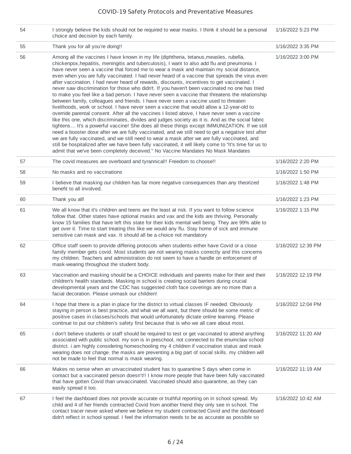| 54 | I strongly believe the kids should not be required to wear masks. I think it should be a personal<br>choice and decision by each family.                                                                                                                                                                                                                                                                                                                                                                                                                                                                                                                                                                                                                                                                                                                                                                                                                                                                                                                                                                                                                                                                                                                                                                                                                                                                                                                                                                                                                                                | 1/16/2022 5:23 PM  |
|----|-----------------------------------------------------------------------------------------------------------------------------------------------------------------------------------------------------------------------------------------------------------------------------------------------------------------------------------------------------------------------------------------------------------------------------------------------------------------------------------------------------------------------------------------------------------------------------------------------------------------------------------------------------------------------------------------------------------------------------------------------------------------------------------------------------------------------------------------------------------------------------------------------------------------------------------------------------------------------------------------------------------------------------------------------------------------------------------------------------------------------------------------------------------------------------------------------------------------------------------------------------------------------------------------------------------------------------------------------------------------------------------------------------------------------------------------------------------------------------------------------------------------------------------------------------------------------------------------|--------------------|
| 55 | Thank you for all you're doing!!                                                                                                                                                                                                                                                                                                                                                                                                                                                                                                                                                                                                                                                                                                                                                                                                                                                                                                                                                                                                                                                                                                                                                                                                                                                                                                                                                                                                                                                                                                                                                        | 1/16/2022 3:35 PM  |
| 56 | Among all the vaccines I have known in my life (diphtheria, tetanus, measles, rubella,<br>chickenpox, hepatitis, meningitis and tuberculosis), I want to also add flu and pneumonia. I<br>have never seen a vaccine that forced me to wear a mask and maintain my social distance,<br>even when you are fully vaccinated. I had never heard of a vaccine that spreads the virus even<br>after vaccination. I had never heard of rewards, discounts, incentives to get vaccinated. I<br>never saw discrimination for those who didn't. If you haven't been vaccinated no one has tried<br>to make you feel like a bad person. I have never seen a vaccine that threatens the relationship<br>between family, colleagues and friends. I have never seen a vaccine used to threaten<br>livelihoods, work or school. I have never seen a vaccine that would allow a 12-year-old to<br>override parental consent. After all the vaccines I listed above, I have never seen a vaccine<br>like this one, which discriminates, divides and judges society as it is. And as the social fabric<br>tightens It's a powerful vaccine! She does all these things except IMMUNIZATION. If we still<br>need a booster dose after we are fully vaccinated, and we still need to get a negative test after<br>we are fully vaccinated, and we still need to wear a mask after we are fully vaccinated, and<br>still be hospitalized after we have been fully vaccinated, it will likely come to "It's time for us to<br>admit that we've been completely deceived." No Vaccine Mandates No Mask Mandates | 1/16/2022 3:00 PM  |
| 57 | The covid measures are overboard and tyrannical!! Freedom to choose!!                                                                                                                                                                                                                                                                                                                                                                                                                                                                                                                                                                                                                                                                                                                                                                                                                                                                                                                                                                                                                                                                                                                                                                                                                                                                                                                                                                                                                                                                                                                   | 1/16/2022 2:20 PM  |
| 58 | No masks and no vaccinations                                                                                                                                                                                                                                                                                                                                                                                                                                                                                                                                                                                                                                                                                                                                                                                                                                                                                                                                                                                                                                                                                                                                                                                                                                                                                                                                                                                                                                                                                                                                                            | 1/16/2022 1:50 PM  |
| 59 | I believe that masking our children has far more negative consequences than any theorized<br>benefit to all involved.                                                                                                                                                                                                                                                                                                                                                                                                                                                                                                                                                                                                                                                                                                                                                                                                                                                                                                                                                                                                                                                                                                                                                                                                                                                                                                                                                                                                                                                                   | 1/16/2022 1:48 PM  |
| 60 | Thank you all!                                                                                                                                                                                                                                                                                                                                                                                                                                                                                                                                                                                                                                                                                                                                                                                                                                                                                                                                                                                                                                                                                                                                                                                                                                                                                                                                                                                                                                                                                                                                                                          | 1/16/2022 1:23 PM  |
| 61 | We all know that it's children and teens are the least at risk. If you want to follow science<br>follow that. Other states have optional masks and vax and the kids are thriving. Personally<br>know 15 families that have left this state for their kids mental well being. They are 99% able to<br>get over it. Time to start treating this like we would any flu. Stay home of sick and immune<br>sensitive can mask and vax. It should all be a choice not mandatory                                                                                                                                                                                                                                                                                                                                                                                                                                                                                                                                                                                                                                                                                                                                                                                                                                                                                                                                                                                                                                                                                                                | 1/16/2022 1:15 PM  |
| 62 | Office staff seem to provide differing protocols when students either have Covid or a close<br>family member gets covid. Most students are not wearing masks correctly and this concerns<br>my children. Teachers and administration do not seem to have a handle on enforcement of<br>mask-wearing throughout the student body.                                                                                                                                                                                                                                                                                                                                                                                                                                                                                                                                                                                                                                                                                                                                                                                                                                                                                                                                                                                                                                                                                                                                                                                                                                                        | 1/16/2022 12:39 PM |
| 63 | Vaccination and masking should be a CHOICE individuals and parents make for their and their<br>children's health standards. Masking in school is creating social barriers during crucial<br>developmental years and the CDC has suggested cloth face coverings are no more than a<br>facial decoration. Please unmask our children!                                                                                                                                                                                                                                                                                                                                                                                                                                                                                                                                                                                                                                                                                                                                                                                                                                                                                                                                                                                                                                                                                                                                                                                                                                                     | 1/16/2022 12:19 PM |
| 64 | I hope that there is a plan in place for the district to virtual classes IF needed. Obviously<br>staying in person is best practice, and what we all want, but there should be some metric of<br>positive cases in classes/schools that would unfortunately dictate online learning. Please<br>continue to put our children's safety first because that is who we all care about most.                                                                                                                                                                                                                                                                                                                                                                                                                                                                                                                                                                                                                                                                                                                                                                                                                                                                                                                                                                                                                                                                                                                                                                                                  | 1/16/2022 12:04 PM |
| 65 | i don't believe students or staff should be required to test or get vaccinated to attend anything<br>associated with public school. my son is in preschool, not connected to the enumclaw school<br>district. i am highly considering homeschooling my 4 children if vaccination status and mask<br>wearing does not change. the masks are preventing a big part of social skills. my children will<br>not be made to feel that normal is mask wearing.                                                                                                                                                                                                                                                                                                                                                                                                                                                                                                                                                                                                                                                                                                                                                                                                                                                                                                                                                                                                                                                                                                                                 | 1/16/2022 11:20 AM |
| 66 | Makes no sense when an unvaccinated student has to quarantine 5 days when come in<br>contact but a vaccinated person doesn't!! I know more people that have been fully vaccinated<br>that have gotten Covid than unvaccinated. Vaccinated should also quarantine, as they can<br>easily spread it too.                                                                                                                                                                                                                                                                                                                                                                                                                                                                                                                                                                                                                                                                                                                                                                                                                                                                                                                                                                                                                                                                                                                                                                                                                                                                                  | 1/16/2022 11:19 AM |
| 67 | I feel the dashboard does not provide accurate or truthful reporting on in school spread. My<br>child and 4 of her friends contracted Covid from another friend they only see in school. The<br>contact tracer never asked where we believe my student contracted Covid and the dashboard<br>didn't reflect in school spread. I feel the information needs to be as accurate as possible so                                                                                                                                                                                                                                                                                                                                                                                                                                                                                                                                                                                                                                                                                                                                                                                                                                                                                                                                                                                                                                                                                                                                                                                             | 1/16/2022 10:42 AM |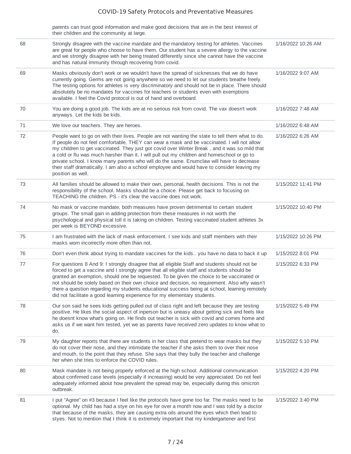|    | parents can trust good information and make good decisions that are in the best interest of<br>their children and the community at large.                                                                                                                                                                                                                                                                                                                                                                                                                                                                       |                    |
|----|-----------------------------------------------------------------------------------------------------------------------------------------------------------------------------------------------------------------------------------------------------------------------------------------------------------------------------------------------------------------------------------------------------------------------------------------------------------------------------------------------------------------------------------------------------------------------------------------------------------------|--------------------|
| 68 | Strongly disagree with the vaccine mandate and the mandatory testing for athletes. Vaccines<br>are great for people who choose to have them. Our student has a severe allergy to the vaccine<br>and we strongly disagree with her being treated differently since she cannot have the vaccine<br>and has natural immunity through recovering from covid.                                                                                                                                                                                                                                                        | 1/16/2022 10:26 AM |
| 69 | Masks obviously don't work or we wouldn't have the spread of sicknesses that we do have<br>currently going. Germs are not going anywhere so we need to let our students breathe freely.<br>The testing options for athletes is very discriminatory and should not be in place. There should<br>absolutely be no mandates for vaccines for teachers or students even with exemptions<br>available. I feel the Covid protocol is out of hand and overboard.                                                                                                                                                       | 1/16/2022 9:07 AM  |
| 70 | You are doing a good job. The kids are at no serious risk from covid. The vax doesn't work<br>anyways. Let the kids be kids.                                                                                                                                                                                                                                                                                                                                                                                                                                                                                    | 1/16/2022 7:48 AM  |
| 71 | We love our teachers. They are heroes.                                                                                                                                                                                                                                                                                                                                                                                                                                                                                                                                                                          | 1/16/2022 6:48 AM  |
| 72 | People want to go on with their lives. People are not wanting the state to tell them what to do.<br>If people do not feel comfortable, THEY can wear a mask and be vaccinated. I will not allow<br>my children to get vaccinated. They just got covid over Winter Break, and it was so mild that<br>a cold or flu was much harsher than it. I will pull out my children and homeschool or go to<br>private school. I know many parents who will do the same. Enumclaw will have to decrease<br>their staff dramatically. I am also a school employee and would have to consider leaving my<br>position as well. | 1/16/2022 6:26 AM  |
| 73 | All families should be allowed to make their own, personal, health decisions. This is not the<br>responsibility of the school. Masks should be a choice. Please get back to focusing on<br>TEACHING the children. PS - it's clear the vaccine does not work.                                                                                                                                                                                                                                                                                                                                                    | 1/15/2022 11:41 PM |
| 74 | No mask or vaccine mandate, both measures have proven detrimental to certain student<br>groups. The small gain in adding protection from these measures in not worth the<br>psychological and physical toll it is taking on children. Testing vaccinated student athletes 3x<br>per week is BEYOND excessive.                                                                                                                                                                                                                                                                                                   | 1/15/2022 10:40 PM |
| 75 | I am frustrated with the lack of mask enforcement. I see kids and staff members with their<br>masks worn incorrectly more often than not.                                                                                                                                                                                                                                                                                                                                                                                                                                                                       | 1/15/2022 10:26 PM |
| 76 | Don't even think about trying to mandate vaccines for the kids you have no data to back it up                                                                                                                                                                                                                                                                                                                                                                                                                                                                                                                   | 1/15/2022 8:01 PM  |
| 77 | For questions 8 And 9: I strongly disagree that all eligible Staff and students should not be<br>forced to get a vaccine and I strongly agree that all eligible staff and students should be<br>granted an exemption, should one be requested. To be given the choice to be vaccinated or<br>not should be solely based on their own choice and decision, no requirement. Also why wasn't<br>there a question regarding my students educational success being at school, learning remotely<br>did not facilitate a good learning experience for my elementary students.                                         | 1/15/2022 6:33 PM  |
| 78 | Our son said he sees kids getting pulled out of class right and left because they are testing<br>positive. He likes the social aspect of inperson but is uneasy about getting sick and feels like<br>he doesnt know what's going on. He finds out teacher is sick with covid and comes home and<br>asks us if we want him tested, yet we as parents have received zero updates to know what to<br>do.                                                                                                                                                                                                           | 1/15/2022 5:49 PM  |
| 79 | My daughter reports that there are students in her class that pretend to wear masks but they<br>do not cover their nose, and they intimidate the teacher if she asks them to over their nose<br>and mouth, to the point that they refuse. She says that they bully the teacher and challenge<br>her when she tries to enforce the COVID rules.                                                                                                                                                                                                                                                                  | 1/15/2022 5:10 PM  |
| 80 | Mask mandate is not being properly enforced at the high school. Additional communication<br>about confirmed case levels (especially if increasing) would be very appreciated. Do not feel<br>adequately informed about how prevalent the spread may be, especially during this omicron<br>outbreak.                                                                                                                                                                                                                                                                                                             | 1/15/2022 4:20 PM  |
| 81 | I put "Agree" on #3 because I feel like the protocols have gone too far. The masks need to be<br>optional. My child has had a stye on his eye for over a month now and I was told by a doctor<br>that because of the masks, they are causing extra oils around the eyes which then lead to<br>styes. Not to mention that I think it is extremely important that my kindergartener and first                                                                                                                                                                                                                     | 1/15/2022 3:40 PM  |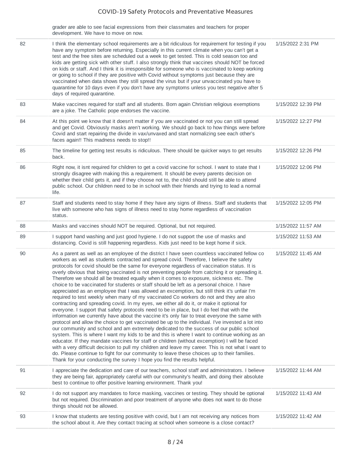grader are able to see facial expressions from their classmates and teachers for proper development. We have to move on now.

| 82 | I think the elementary school requirements are a bit ridiculous for requirement for testing if you<br>have any symptom before returning. Especially in this current climate when you can't get a<br>test and the free sites are scheduled out a week to get tested. This is cold season too and<br>kids are getting sick with other stuff. I also strongly think that vaccines should NOT be forced<br>on kids or staff. And I think it is irresponsible for someone who is vaccinated to keep working<br>or going to school if they are positive with Covid without symptoms just because they are<br>vaccinated when data shows they still spread the virus but if your unvaccinated you have to<br>quarantine for 10 days even if you don't have any symptoms unless you test negative after 5<br>days of required quarantine.                                                                                                                                                                                                                                                                                                                                               | 1/15/2022 2:31 PM  |
|----|---------------------------------------------------------------------------------------------------------------------------------------------------------------------------------------------------------------------------------------------------------------------------------------------------------------------------------------------------------------------------------------------------------------------------------------------------------------------------------------------------------------------------------------------------------------------------------------------------------------------------------------------------------------------------------------------------------------------------------------------------------------------------------------------------------------------------------------------------------------------------------------------------------------------------------------------------------------------------------------------------------------------------------------------------------------------------------------------------------------------------------------------------------------------------------|--------------------|
| 83 | Make vaccines required for staff and all students. Born again Christian religious exemptions<br>are a joke. The Catholic pope endorses the vaccine.                                                                                                                                                                                                                                                                                                                                                                                                                                                                                                                                                                                                                                                                                                                                                                                                                                                                                                                                                                                                                             | 1/15/2022 12:39 PM |
| 84 | At this point we know that it doesn't matter if you are vaccinated or not you can still spread<br>and get Covid. Obviously masks aren't working. We should go back to how things were before<br>Covid and start repairing the divide in vax/unvaxed and start normalizing see each other's<br>faces again!! This madness needs to stop!!                                                                                                                                                                                                                                                                                                                                                                                                                                                                                                                                                                                                                                                                                                                                                                                                                                        | 1/15/2022 12:27 PM |
| 85 | The timeline for getting test results is ridiculous. There should be quicker ways to get results<br>back.                                                                                                                                                                                                                                                                                                                                                                                                                                                                                                                                                                                                                                                                                                                                                                                                                                                                                                                                                                                                                                                                       | 1/15/2022 12:26 PM |
| 86 | Right now, it isnt required for children to get a covid vaccine for school. I want to state that I<br>strongly disagree with making this a requirement. It should be every parents decision on<br>whether their child gets it, and if they choose not to, the child should still be able to attend<br>public school. Our children need to be in school with their friends and trying to lead a normal<br>life.                                                                                                                                                                                                                                                                                                                                                                                                                                                                                                                                                                                                                                                                                                                                                                  | 1/15/2022 12:06 PM |
| 87 | Staff and students need to stay home if they have any signs of illness. Staff and students that<br>live with someone who has signs of illness need to stay home regardless of vaccination<br>status.                                                                                                                                                                                                                                                                                                                                                                                                                                                                                                                                                                                                                                                                                                                                                                                                                                                                                                                                                                            | 1/15/2022 12:05 PM |
| 88 | Masks and vaccines should NOT be required. Optional, but not required.                                                                                                                                                                                                                                                                                                                                                                                                                                                                                                                                                                                                                                                                                                                                                                                                                                                                                                                                                                                                                                                                                                          | 1/15/2022 11:57 AM |
| 89 | I support hand washing and just good hygiene. I do not support the use of masks and<br>distancing. Covid is still happening regardless. Kids just need to be kept home if sick.                                                                                                                                                                                                                                                                                                                                                                                                                                                                                                                                                                                                                                                                                                                                                                                                                                                                                                                                                                                                 | 1/15/2022 11:53 AM |
| 90 | As a parent as well as an employee of the district I have seen countless vaccinated fellow co<br>workers as well as students contracted and spread covid. Therefore, I believe the safety<br>protocols for covid should be the same for everyone regardless of vaccination status. It is<br>overly obvious that being vaccinated is not preventing people from catching it or spreading it.<br>Therefore we should all be treated equally when it comes to exposure, sickness etc. The<br>choice to be vaccinated for students or staff should be left as a personal choice. I have<br>appreciated as an employee that I was allowed an excemption, but still think it's unfair I'm<br>required to test weekly when many of my vaccinated Co workers do not and they are also<br>contracting and spreading covid. In my eyes, we either all do it, or make it optional for<br>everyone. I support that safety protocols need to be in place, but I do feel that with the<br>information we currently have about the vaccine it's only fair to treat everyone the same with<br>protocol and allow the choice to get vaccinated be up to the individual. I've invested a lot into | 1/15/2022 11:45 AM |
|    | our community and school and am extremely dedicated to the success of our public school<br>system. This is where I want my kids to be and this is where I want to continue working as an<br>educator. If they mandate vaccines for staff or children (without excemption) I will be faced<br>with a very difficult decision to pull my children and leave my career. This is not what I want to<br>do. Please continue to fight for our community to leave these choices up to their families.<br>Thank for your conducting the survey I hope you find the results helpful.                                                                                                                                                                                                                                                                                                                                                                                                                                                                                                                                                                                                     |                    |
| 91 | I appreciate the dedication and care of our teachers, school staff and administrators. I believe<br>they are being fair, appropriately careful with our community's health, and doing their absolute<br>best to continue to offer positive learning environment. Thank you!                                                                                                                                                                                                                                                                                                                                                                                                                                                                                                                                                                                                                                                                                                                                                                                                                                                                                                     | 1/15/2022 11:44 AM |
| 92 | I do not support any mandates to force masking, vaccines or testing. They should be optional<br>but not required. Discrimination and poor treatment of anyone who does not want to do those<br>things should not be allowed.                                                                                                                                                                                                                                                                                                                                                                                                                                                                                                                                                                                                                                                                                                                                                                                                                                                                                                                                                    | 1/15/2022 11:43 AM |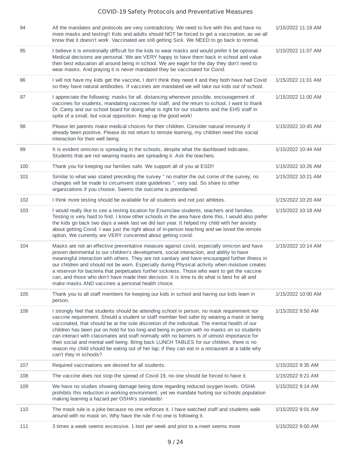| 94  | All the mandates and protocols are very contradictory. We need to live with this and have no<br>more masks and testing!! Kids and adults should NOT be forced to get a vaccination, as we all<br>know that it doesn't work. Vaccinated are still getting Sick. We NEED to go back to normal.                                                                                                                                                                                                                                                                                                                                                                                                                         | 1/15/2022 11:19 AM |
|-----|----------------------------------------------------------------------------------------------------------------------------------------------------------------------------------------------------------------------------------------------------------------------------------------------------------------------------------------------------------------------------------------------------------------------------------------------------------------------------------------------------------------------------------------------------------------------------------------------------------------------------------------------------------------------------------------------------------------------|--------------------|
| 95  | I believe it is emotionally difficult for the kids to wear masks and would prefer it be optional.<br>Medical decisions are personal. We are VERY happy to have them back in school and value<br>their best education all around being in school. We are eager for the day they don't need to<br>wear masks. And praying it is never mandated they be vaccinated for Covid.                                                                                                                                                                                                                                                                                                                                           | 1/15/2022 11:07 AM |
| 96  | I will not have my kids get the vaccine, I don't think they need it and they both have had Covid<br>so they have natural antibodies. If vaccines are mandated we will take our kids out of school.                                                                                                                                                                                                                                                                                                                                                                                                                                                                                                                   | 1/15/2022 11:01 AM |
| 97  | I appreciate the following: masks for all, distancing whenever possible, encouragement of<br>vaccines for students, mandating vaccines for staff, and the return to school. I want to thank<br>Dr. Carey and our school board for doing what is right for our students and the EHS staff in<br>spite of a small, but vocal opposition. Keep up the good work!                                                                                                                                                                                                                                                                                                                                                        | 1/15/2022 11:00 AM |
| 98  | Please let parents make medical choices for their children. Consider natural immunity if<br>already been positive. Please do not return to remote learning, my children need this social<br>interaction for their well being.                                                                                                                                                                                                                                                                                                                                                                                                                                                                                        | 1/15/2022 10:45 AM |
| 99  | It is evident omicron is spreading in the schools, despite what the dashboard indicates.<br>Students that are not wearing masks are spreading it. Ask the teachers.                                                                                                                                                                                                                                                                                                                                                                                                                                                                                                                                                  | 1/15/2022 10:44 AM |
| 100 | Thank you for keeping our families safe. We support all of you at ESD!!                                                                                                                                                                                                                                                                                                                                                                                                                                                                                                                                                                                                                                              | 1/15/2022 10:26 AM |
| 101 | Similar to what was stated preceding the survey " no matter the out come of the survey, no<br>changes will be made to circumvent state guidelines ", very sad. So share to other<br>organizations if you choose. Seems the outcome is preordained.                                                                                                                                                                                                                                                                                                                                                                                                                                                                   | 1/15/2022 10:21 AM |
| 102 | I think more testing should be available for all students and not just athletes.                                                                                                                                                                                                                                                                                                                                                                                                                                                                                                                                                                                                                                     | 1/15/2022 10:20 AM |
| 103 | I would really like to see a testing location for Enumclaw students, teachers and families.<br>Testing is very hard to find. I know other schools in the area have done this. I would also prefer<br>the kids go back two days a week last we did last year. It helped my child with her anxiety<br>about getting Covid. I was just the right about of in-person teaching and we loved the remote<br>option. We currently are VERY concerned about getting covid.                                                                                                                                                                                                                                                    | 1/15/2022 10:18 AM |
| 104 | Masks are not an effective preventative measure against covid, especially omicron and have<br>proven detrimental to our children's development, social interaction, and ability to have<br>meaningful interaction with others. They are not sanitary and have encouraged further illness in<br>our children and should not be worn. Especially during Physical activity when moisture creates<br>a reservoir for bacteria that perpetuates further sickness. Those who want to get the vaccine<br>can, and those who don't have made their decision. It is time to do what is best for all and<br>make masks AND vaccines a personal health choice.                                                                  | 1/15/2022 10:14 AM |
| 105 | Thank you to all staff members for keeping our kids in school and having our kids learn in<br>person.                                                                                                                                                                                                                                                                                                                                                                                                                                                                                                                                                                                                                | 1/15/2022 10:00 AM |
| 106 | I strongly feel that students should be attending school in person, no mask requirement nor<br>vaccine requirement. Should a student or staff member feel safer by wearing a mask or being<br>vaccinated, that should be at the sole discretion of the individual. The mental health of our<br>children has been put on hold for too long and being in person with no masks on so students<br>can interact with classmates and staff normally with no barriers is of utmost importance for<br>their social and mental well being. Bring back LUNCH TABLES for our children, there is no<br>reason my child should be eating out of her lap; if they can eat in a restaurant at a table why<br>can't they in schools? | 1/15/2022 9:50 AM  |
| 107 | Required vaccinations are desired for all students.                                                                                                                                                                                                                                                                                                                                                                                                                                                                                                                                                                                                                                                                  | 1/15/2022 9:35 AM  |
| 108 | The vaccine does not stop the spread of Covid 19, no one should be forced to have it.                                                                                                                                                                                                                                                                                                                                                                                                                                                                                                                                                                                                                                | 1/15/2022 9:21 AM  |
| 109 | We have no studies showing damage being done regarding reduced oxygen levels. OSHA<br>prohibits this reduction in working environment, yet we mandate hurting our schools population<br>making learning a hazard per OSHA's standards!                                                                                                                                                                                                                                                                                                                                                                                                                                                                               | 1/15/2022 9:14 AM  |
| 110 | The mask rule is a joke because no one enforces it. I have watched staff and students walk<br>around with no mask on. Why have the rule if no one is following it.                                                                                                                                                                                                                                                                                                                                                                                                                                                                                                                                                   | 1/15/2022 9:01 AM  |
| 111 | 3 times a week seems excessive. 1 test per week and prior to a meet seems more                                                                                                                                                                                                                                                                                                                                                                                                                                                                                                                                                                                                                                       | 1/15/2022 9:00 AM  |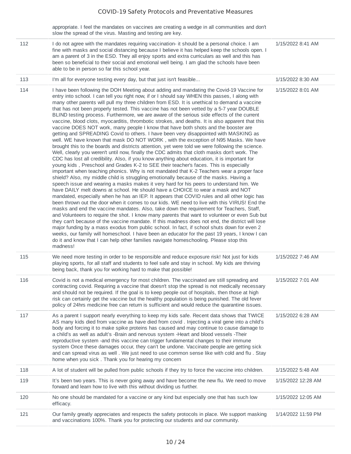appropriate. I feel the mandates on vaccines are creating a wedge in all communities and don't slow the spread of the virus. Masting and testing are key.

| 112 | I do not agree with the mandates requiring vaccination- it should be a personal choice. I am<br>fine with masks and social distancing because I believe it has helped keep the schools open. I<br>am a parent of 3 in the ESD. They all enjoy sports and extra curriculars as well and this has<br>been so beneficial to their social and emotional well being. I am glad the schools have been<br>able to be in person so far this school year.                                                                                                                                                                                                                                                                                                                                                                                                                                                                                                                                                                                                                                                                                                                                                                                                                                                                                                                                                                                                                                                                                                                                                                                                                                                                                                                                                                                                                                                                                                                                                                                                                                                                                                                                                                                                                                                                                                                                                                                           | 1/15/2022 8:41 AM  |
|-----|--------------------------------------------------------------------------------------------------------------------------------------------------------------------------------------------------------------------------------------------------------------------------------------------------------------------------------------------------------------------------------------------------------------------------------------------------------------------------------------------------------------------------------------------------------------------------------------------------------------------------------------------------------------------------------------------------------------------------------------------------------------------------------------------------------------------------------------------------------------------------------------------------------------------------------------------------------------------------------------------------------------------------------------------------------------------------------------------------------------------------------------------------------------------------------------------------------------------------------------------------------------------------------------------------------------------------------------------------------------------------------------------------------------------------------------------------------------------------------------------------------------------------------------------------------------------------------------------------------------------------------------------------------------------------------------------------------------------------------------------------------------------------------------------------------------------------------------------------------------------------------------------------------------------------------------------------------------------------------------------------------------------------------------------------------------------------------------------------------------------------------------------------------------------------------------------------------------------------------------------------------------------------------------------------------------------------------------------------------------------------------------------------------------------------------------------|--------------------|
| 113 | I'm all for everyone testing every day, but that just isn't feasible                                                                                                                                                                                                                                                                                                                                                                                                                                                                                                                                                                                                                                                                                                                                                                                                                                                                                                                                                                                                                                                                                                                                                                                                                                                                                                                                                                                                                                                                                                                                                                                                                                                                                                                                                                                                                                                                                                                                                                                                                                                                                                                                                                                                                                                                                                                                                                       | 1/15/2022 8:30 AM  |
| 114 | I have been following the DOH Meeting about adding and mandating the Covid-19 Vaccine for<br>entry into school. I can tell you right now, if or I should say WHEN this passes, I along with<br>many other parents will pull my three children from ESD. It is unethical to demand a vaccine<br>that has not been properly tested. This vaccine has not been vetted by a 5-7 year DOUBLE<br>BLIND testing process. Furthermore, we are aware of the serious side effects of the current<br>vaccine, blood clots, myocarditis, thrombotic strokes, and deaths. It is also apparent that this<br>vaccine DOES NOT work, many people I know that have both shots and the booster are<br>getting and SPREADING Covid to others. I have been very disappointed with MASKING as<br>well. WE have known that mask DO NOT WORK, with the exception of N95 Masks. We have<br>brought this to the boards and districts attention, yet were told we were following the science.<br>Well, clearly you weren't until now, finally the CDC admits that cloth masks don't work. The<br>CDC has lost all credibility. Also, if you know anything about education, it is important for<br>young kids, Preschool and Grades K-2 to SEE their teacher's faces. This is especially<br>important when teaching phonics. Why is not mandated that K-2 Teachers wear a proper face<br>shield? Also, my middle child is struggling emotionally because of the masks. Having a<br>speech issue and wearing a masks makes it very hard for his peers to understand him. We<br>have DAILY melt downs at school. He should have a CHOICE to wear a mask and NOT<br>mandated, especially when he has an IEP. It appears that COVID rules and all other logic has<br>been thrown out the door when it comes to our kids. WE need to live with this VIRUS! End the<br>masks and end the vaccine mandates. Also, take down the requirement for Teachers, Staff,<br>and Volunteers to require the shot. I know many parents that want to volunteer or even Sub but<br>they can't because of the vaccine mandate. If this madness does not end, the district will lose<br>major funding by a mass exodus from public school. In fact, if school shuts down for even 2<br>weeks, our family will homeschool. I have been an educator for the past 19 years, I know I can<br>do it and know that I can help other families navigate homeschooling. Please stop this<br>madness! | 1/15/2022 8:01 AM  |
| 115 | We need more testing in order to be responsible and reduce exposure risk! Not just for kids<br>playing sports, for all staff and students to feel safe and stay in school. My kids are thriving<br>being back, thank you for working hard to make that possible!                                                                                                                                                                                                                                                                                                                                                                                                                                                                                                                                                                                                                                                                                                                                                                                                                                                                                                                                                                                                                                                                                                                                                                                                                                                                                                                                                                                                                                                                                                                                                                                                                                                                                                                                                                                                                                                                                                                                                                                                                                                                                                                                                                           | 1/15/2022 7:46 AM  |
| 116 | Covid is not a medical emergency for most children. The vaccinated are still spreading and<br>contracting covid. Requiring a vaccine that doesn't stop the spread is not medically necessary<br>and should not be required. If the goal is to keep people out of hospitals, then those at high<br>risk can certainly get the vaccine but the healthy population is being punished. The old fever<br>policy of 24hrs medicine free can return is sufficient and would reduce the quarantine issues.                                                                                                                                                                                                                                                                                                                                                                                                                                                                                                                                                                                                                                                                                                                                                                                                                                                                                                                                                                                                                                                                                                                                                                                                                                                                                                                                                                                                                                                                                                                                                                                                                                                                                                                                                                                                                                                                                                                                         | 1/15/2022 7:01 AM  |
| 117 | As a parent I support nearly everything to keep my kids safe. Recent data shows that TWICE<br>AS many kids died from vaccine as have died from covid. Injecting a viral gene into a child's<br>body and forcing it to make spike proteins has caused and may continue to cause damage to<br>a child's as well as adult's -Brain and nervous system -Heart and blood vessels -Their<br>reproductive system -and this vaccine can trigger fundamental changes to their immune<br>system Once these damages occur, they can't be undone. Vaccinate people are getting sick<br>and can spread virus as well. We just need to use common sense like with cold and flu. Stay<br>home when you sick. Thank you for hearing my concern                                                                                                                                                                                                                                                                                                                                                                                                                                                                                                                                                                                                                                                                                                                                                                                                                                                                                                                                                                                                                                                                                                                                                                                                                                                                                                                                                                                                                                                                                                                                                                                                                                                                                                             | 1/15/2022 6:28 AM  |
| 118 | A lot of student will be pulled from public schools if they try to force the vaccine into children.                                                                                                                                                                                                                                                                                                                                                                                                                                                                                                                                                                                                                                                                                                                                                                                                                                                                                                                                                                                                                                                                                                                                                                                                                                                                                                                                                                                                                                                                                                                                                                                                                                                                                                                                                                                                                                                                                                                                                                                                                                                                                                                                                                                                                                                                                                                                        | 1/15/2022 5:48 AM  |
| 119 | It's been two years. This is never going away and have become the new flu. We need to move<br>forward and learn how to live with this without dividing us further.                                                                                                                                                                                                                                                                                                                                                                                                                                                                                                                                                                                                                                                                                                                                                                                                                                                                                                                                                                                                                                                                                                                                                                                                                                                                                                                                                                                                                                                                                                                                                                                                                                                                                                                                                                                                                                                                                                                                                                                                                                                                                                                                                                                                                                                                         | 1/15/2022 12:28 AM |
| 120 | No one should be mandated for a vaccine or any kind but especially one that has such low<br>efficacy.                                                                                                                                                                                                                                                                                                                                                                                                                                                                                                                                                                                                                                                                                                                                                                                                                                                                                                                                                                                                                                                                                                                                                                                                                                                                                                                                                                                                                                                                                                                                                                                                                                                                                                                                                                                                                                                                                                                                                                                                                                                                                                                                                                                                                                                                                                                                      | 1/15/2022 12:05 AM |
| 121 | Our family greatly appreciates and respects the safety protocols in place. We support masking<br>and vaccinations 100%. Thank you for protecting our students and our community.                                                                                                                                                                                                                                                                                                                                                                                                                                                                                                                                                                                                                                                                                                                                                                                                                                                                                                                                                                                                                                                                                                                                                                                                                                                                                                                                                                                                                                                                                                                                                                                                                                                                                                                                                                                                                                                                                                                                                                                                                                                                                                                                                                                                                                                           | 1/14/2022 11:59 PM |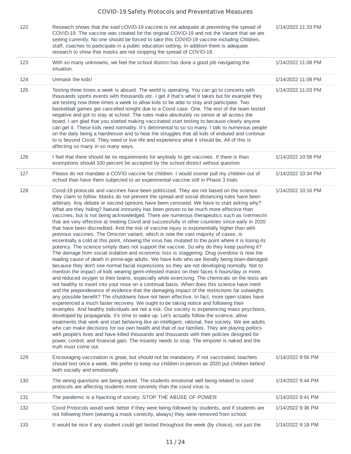| 122 | Research shows that the said cOVID-19 vaccine is not adequate at preventing the spread of<br>COVID-19. The vaccine was created for the original COVID-19 and not the Variant that we are<br>seeing currently. No one should be forced to take this COVID-19 vaccine including Children,<br>staff, coaches to participate in a public education setting. In addition there is adequate<br>research to show that masks are not stopping the spread of COVID-19.                                                                                                                                                                                                                                                                                                                                                                                                                                                                                                                                                                                                                                                                                                                                                                                                                                                                                                                                                                                                                                                                                                                                                                                                                                                                                                                                                                                                                                                                                                                                                                                                                                                                                                                                                                                                                                                                                                                                                                                                                                   | 1/14/2022 11:33 PM |
|-----|-------------------------------------------------------------------------------------------------------------------------------------------------------------------------------------------------------------------------------------------------------------------------------------------------------------------------------------------------------------------------------------------------------------------------------------------------------------------------------------------------------------------------------------------------------------------------------------------------------------------------------------------------------------------------------------------------------------------------------------------------------------------------------------------------------------------------------------------------------------------------------------------------------------------------------------------------------------------------------------------------------------------------------------------------------------------------------------------------------------------------------------------------------------------------------------------------------------------------------------------------------------------------------------------------------------------------------------------------------------------------------------------------------------------------------------------------------------------------------------------------------------------------------------------------------------------------------------------------------------------------------------------------------------------------------------------------------------------------------------------------------------------------------------------------------------------------------------------------------------------------------------------------------------------------------------------------------------------------------------------------------------------------------------------------------------------------------------------------------------------------------------------------------------------------------------------------------------------------------------------------------------------------------------------------------------------------------------------------------------------------------------------------------------------------------------------------------------------------------------------------|--------------------|
| 123 | With so many unknowns, we feel the school district has done a good job navigating the<br>situation.                                                                                                                                                                                                                                                                                                                                                                                                                                                                                                                                                                                                                                                                                                                                                                                                                                                                                                                                                                                                                                                                                                                                                                                                                                                                                                                                                                                                                                                                                                                                                                                                                                                                                                                                                                                                                                                                                                                                                                                                                                                                                                                                                                                                                                                                                                                                                                                             | 1/14/2022 11:08 PM |
| 124 | Unmask the kids!                                                                                                                                                                                                                                                                                                                                                                                                                                                                                                                                                                                                                                                                                                                                                                                                                                                                                                                                                                                                                                                                                                                                                                                                                                                                                                                                                                                                                                                                                                                                                                                                                                                                                                                                                                                                                                                                                                                                                                                                                                                                                                                                                                                                                                                                                                                                                                                                                                                                                | 1/14/2022 11:08 PM |
| 125 | Testing three times a week is absurd. The world is operating. You can go to concerts with<br>thousands sports events with thousands etc. i get if that's what it takes but for example they<br>are testing now three times a week to allow kids to be able to stay and participate. Two<br>basketball games got cancelled tonight due to a Covid case. One. The rest of the team tested<br>negative and got to stay at school. The rules make absolutely no sense at all across the<br>board. I am glad that you started making vaccinated start testing to because clearly anyone<br>can get it. These kids need normality. It's detrimental to so so many. I talk to numerous people<br>on the daily being a hairdresser and to hear the struggles that all kids of endured and continue<br>to is beyond Covid. They need or live life and experience what it should be. All of this is<br>affecting so many in so many ways.                                                                                                                                                                                                                                                                                                                                                                                                                                                                                                                                                                                                                                                                                                                                                                                                                                                                                                                                                                                                                                                                                                                                                                                                                                                                                                                                                                                                                                                                                                                                                                 | 1/14/2022 11:03 PM |
| 126 | I feel that there should be no requirements for anybody to get vaccines. If there is than<br>exemptions should 100 percent be accepted by the school district without question                                                                                                                                                                                                                                                                                                                                                                                                                                                                                                                                                                                                                                                                                                                                                                                                                                                                                                                                                                                                                                                                                                                                                                                                                                                                                                                                                                                                                                                                                                                                                                                                                                                                                                                                                                                                                                                                                                                                                                                                                                                                                                                                                                                                                                                                                                                  | 1/14/2022 10:58 PM |
| 127 | Please do not mandate a COVID vaccine for children. I would sooner pull my children out of<br>school than have them subjected to an experimental vaccine still in Phase 3 trials                                                                                                                                                                                                                                                                                                                                                                                                                                                                                                                                                                                                                                                                                                                                                                                                                                                                                                                                                                                                                                                                                                                                                                                                                                                                                                                                                                                                                                                                                                                                                                                                                                                                                                                                                                                                                                                                                                                                                                                                                                                                                                                                                                                                                                                                                                                | 1/14/2022 10:34 PM |
| 128 | Covid-19 protocols and vaccines have been politicized. They are not based on the science<br>they claim to follow. Masks do not prevent the spread and social distancing rules have been<br>arbitrary. Any debate or second opinions have been censored. We have to start asking why?<br>What are they hiding? Natural immunity has been proven to be much more effective than<br>vaccines, but is not being acknowledged. There are numerous therapeutics such as Ivermectin<br>that are very effective at treating Covid and successfully in other countries since early in 2020<br>that have been discredited. And the risk of vaccine injury is exponentially higher than with<br>previous vaccines. The Omicron variant, which is now the vast majority of cases, is<br>essentially a cold at this point, showing the virus has mutated to the point where it is losing its<br>potency. The science simply does not support the vaccine. So why do they keep pushing it?<br>The damage from social isolation and economic loss is staggering. Drug overdose is now the<br>leading cause of death in prime-age adults. We have kids who are literally being brain-damaged<br>because they don't see normal facial expressions so they are not developing normally. Not to<br>mention the impact of kids wearing germ-infested masks on their faces 6 hours/day or more,<br>and reduced oxygen to their brains, especially while exercising. The chemicals on the tests are<br>not healthy to insert into your nose on a continual basis. When does this science have merit<br>and the preponderance of evidence that the damaging impact of the restrictions far outweighs<br>any possible benefit? The shutdowns have not been effective. In fact, more open states have<br>experienced a much faster recovery. We ought to be taking notice and following their<br>examples. And healthy individuals are not a risk. Our society is experiencing mass psychosis,<br>developed by propaganda. It's time to wake up. Let's actually follow the science, allow<br>treatments that work and start behaving like an intelligent, rational, free society. We are adults<br>who can make decisions for our own health and that of our families. They are playing politics<br>with people's lives and have killed thousands and thousands with their policies designed for<br>power, control, and financial gain. The insanity needs to stop. The emporer is naked and the<br>truth must come out. | 1/14/2022 10:16 PM |
| 129 | Encouraging vaccination is great, but should not be mandatory. If not vaccinated, teachers<br>should test once a week. We prefer to keep our children in-person as 2020 put children behind<br>both socially and emotionally.                                                                                                                                                                                                                                                                                                                                                                                                                                                                                                                                                                                                                                                                                                                                                                                                                                                                                                                                                                                                                                                                                                                                                                                                                                                                                                                                                                                                                                                                                                                                                                                                                                                                                                                                                                                                                                                                                                                                                                                                                                                                                                                                                                                                                                                                   | 1/14/2022 9:56 PM  |
| 130 | The wrong questions are being asked. The students emotional well being related to covid<br>protocols are affecting students more severely than the covid virus is.                                                                                                                                                                                                                                                                                                                                                                                                                                                                                                                                                                                                                                                                                                                                                                                                                                                                                                                                                                                                                                                                                                                                                                                                                                                                                                                                                                                                                                                                                                                                                                                                                                                                                                                                                                                                                                                                                                                                                                                                                                                                                                                                                                                                                                                                                                                              | 1/14/2022 9:44 PM  |
| 131 | The pandemic is a hijacking of society. STOP THE ABUSE OF POWER                                                                                                                                                                                                                                                                                                                                                                                                                                                                                                                                                                                                                                                                                                                                                                                                                                                                                                                                                                                                                                                                                                                                                                                                                                                                                                                                                                                                                                                                                                                                                                                                                                                                                                                                                                                                                                                                                                                                                                                                                                                                                                                                                                                                                                                                                                                                                                                                                                 | 1/14/2022 9:41 PM  |
| 132 | Covid Protocols would work better if they were being followed by students, and if students are<br>not following them (wearing a mask correctly, always) they were removed from school.                                                                                                                                                                                                                                                                                                                                                                                                                                                                                                                                                                                                                                                                                                                                                                                                                                                                                                                                                                                                                                                                                                                                                                                                                                                                                                                                                                                                                                                                                                                                                                                                                                                                                                                                                                                                                                                                                                                                                                                                                                                                                                                                                                                                                                                                                                          | 1/14/2022 9:36 PM  |
| 133 | It would be nice if any student could get tested throughout the week (by choice), not just the                                                                                                                                                                                                                                                                                                                                                                                                                                                                                                                                                                                                                                                                                                                                                                                                                                                                                                                                                                                                                                                                                                                                                                                                                                                                                                                                                                                                                                                                                                                                                                                                                                                                                                                                                                                                                                                                                                                                                                                                                                                                                                                                                                                                                                                                                                                                                                                                  | 1/14/2022 9:18 PM  |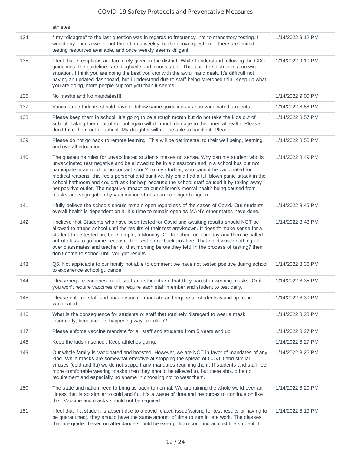|     | athletes.                                                                                                                                                                                                                                                                                                                                                                                                                                                                                                                                                                                                                                                   |                   |
|-----|-------------------------------------------------------------------------------------------------------------------------------------------------------------------------------------------------------------------------------------------------------------------------------------------------------------------------------------------------------------------------------------------------------------------------------------------------------------------------------------------------------------------------------------------------------------------------------------------------------------------------------------------------------------|-------------------|
| 134 | * my "disagree" to the last question was in regards to frequency, not to mandatory testing. I<br>would say once a week, not three times weekly, to the above question there are limited<br>testing resources available, and once weekly seems diligent.                                                                                                                                                                                                                                                                                                                                                                                                     | 1/14/2022 9:12 PM |
| 135 | I feel that exemptions are too freely given in the district. While I understand following the CDC<br>guidelines, the guidelines are laughable and inconsistent. That puts the district in a no-win<br>situation. I think you are doing the best you can with the awful hand dealt. It's difficult not<br>having an updated dashboard, but I understand due to staff being stretched thin. Keep up what<br>you are doing, more people support you than it seems.                                                                                                                                                                                             | 1/14/2022 9:10 PM |
| 136 | No masks and No mandates!!!                                                                                                                                                                                                                                                                                                                                                                                                                                                                                                                                                                                                                                 | 1/14/2022 9:00 PM |
| 137 | Vaccinated students should have to follow same guidelines as non vaccinated students                                                                                                                                                                                                                                                                                                                                                                                                                                                                                                                                                                        | 1/14/2022 8:58 PM |
| 138 | Please keep them in school. It's going to be a rough month but do not take the kids out of<br>school. Taking them out of school again will do much damage to their mental health. Please<br>don't take them out of school. My daughter will not be able to handle it. Please.                                                                                                                                                                                                                                                                                                                                                                               | 1/14/2022 8:57 PM |
| 139 | Please do not go back to remote learning. This will be detrimental to their well being, learning,<br>and overall education                                                                                                                                                                                                                                                                                                                                                                                                                                                                                                                                  | 1/14/2022 8:55 PM |
| 140 | The quarantine rules for unvaccinated students makes no sense. Why can my student who is<br>unvaccinated test negative and be allowed to be in a classroom and in a school bus but not<br>participate in an outdoor no contact sport? To my student, who cannot be vaccinated for<br>medical reasons, this feels personal and punitive. My child had a full blown panic attack in the<br>school bathroom and couldn't ask for help because the school staff caused it by taking away<br>her positive outlet. The negative impact on our children's mental health being caused from<br>masks and segregation by vaccination status can no longer be ignored! | 1/14/2022 8:49 PM |
| 141 | I fully believe the schools should remain open regardless of the cases of Covid. Our students<br>overall health is dependent on it. It's time to remain open as MANY other states have done.                                                                                                                                                                                                                                                                                                                                                                                                                                                                | 1/14/2022 8:45 PM |
| 142 | I believe that Students who have been tested for Covid and awaiting results should NOT be<br>allowed to attend school until the results of their test arevknown. It doesn't make sense for a<br>student to be tested on, for example, a Monday. Go to school on Tuesday and then be called<br>out of class to go home because their test came back positive. That child was breathing all<br>over classmates and teacher all that morning before they left! In the process of testing? then<br>don't come to school until you get results.                                                                                                                  | 1/14/2022 8:43 PM |
| 143 | Q6, Not applicable to our family not able to comment we have not tested positive during school<br>to experience school guidance                                                                                                                                                                                                                                                                                                                                                                                                                                                                                                                             | 1/14/2022 8:36 PM |
| 144 | Please require vaccines for all staff and students so that they can stop wearing masks. Or if<br>you won't require vaccines then require each staff member and student to test daily.                                                                                                                                                                                                                                                                                                                                                                                                                                                                       | 1/14/2022 8:35 PM |
| 145 | Please enforce staff and coach vaccine mandate and require all students 5 and up to be<br>vaccinated.                                                                                                                                                                                                                                                                                                                                                                                                                                                                                                                                                       | 1/14/2022 8:30 PM |
| 146 | What is the consequence for students or staff that routinely disregard to wear a mask<br>incorrectly, because it is happening way too often?                                                                                                                                                                                                                                                                                                                                                                                                                                                                                                                | 1/14/2022 8:28 PM |
| 147 | Please enforce vaccine mandate for all staff and students from 5 years and up.                                                                                                                                                                                                                                                                                                                                                                                                                                                                                                                                                                              | 1/14/2022 8:27 PM |
| 148 | Keep the kids in school. Keep athletics going.                                                                                                                                                                                                                                                                                                                                                                                                                                                                                                                                                                                                              | 1/14/2022 8:27 PM |
| 149 | Our whole family is vaccinated and boosted. However, we are NOT in favor of mandates of any<br>kind. While masks are somewhat effective at stopping the spread of COVID and similar<br>viruses (cold and flu) we do not support any mandates requiring them. If students and staff feel<br>more comfortable wearing masks then they should be allowed to, but there should be no<br>requirement and especially no shame in choosing not to wear them.                                                                                                                                                                                                       | 1/14/2022 8:26 PM |
| 150 | The state and nation need to bring us back to normal. We are ruining the whole world over an<br>illness that is so similar to cold and flu. It's a waste of time and resources to continue on like<br>this. Vaccine and masks should not be required.                                                                                                                                                                                                                                                                                                                                                                                                       | 1/14/2022 8:20 PM |
| 151 | I feel that if a student is absent due to a covid related issue(waiting for test results or having to<br>be quarantined), they should have the same amount of time to turn in late work. The classes<br>that are graded based on attendance should be exempt from counting against the student. I                                                                                                                                                                                                                                                                                                                                                           | 1/14/2022 8:19 PM |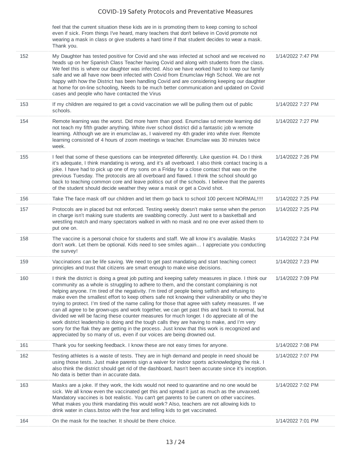feel that the current situation these kids are in is promoting them to keep coming to school even if sick. From things I've heard, many teachers that don't believe in Covid promote not wearing a mask in class or give students a hard time if that student decides to wear a mask. Thank you.

|     | Thank you.                                                                                                                                                                                                                                                                                                                                                                                                                                                                                                                                                                                                                                                                                                                                                                                                                                                                                                                                                                               |                   |
|-----|------------------------------------------------------------------------------------------------------------------------------------------------------------------------------------------------------------------------------------------------------------------------------------------------------------------------------------------------------------------------------------------------------------------------------------------------------------------------------------------------------------------------------------------------------------------------------------------------------------------------------------------------------------------------------------------------------------------------------------------------------------------------------------------------------------------------------------------------------------------------------------------------------------------------------------------------------------------------------------------|-------------------|
| 152 | My Daughter has tested positive for Covid and she was infected at school and we received no<br>heads up on her Spanish Class Teacher having Covid and along with students from the class.<br>We feel this is where our daughter was infected. Also we have worked hard to keep our family<br>safe and we all have now been infected with Covid from Enumclaw High School. We are not<br>happy with how the District has been handling Covid and are considering keeping our daughter<br>at home for on-line schooling, Needs to be much better communication and updated on Covid<br>cases and people who have contacted the Virus                                                                                                                                                                                                                                                                                                                                                       | 1/14/2022 7:47 PM |
| 153 | If my children are required to get a covid vaccination we will be pulling them out of public<br>schools.                                                                                                                                                                                                                                                                                                                                                                                                                                                                                                                                                                                                                                                                                                                                                                                                                                                                                 | 1/14/2022 7:27 PM |
| 154 | Remote learning was the worst. Did more harm than good. Enumclaw sd remote learning did<br>not teach my fifth grader anything. White river school district did a fantastic job w remote<br>learning. Although we are in enumclaw as, I waivered my 4th grader into white river. Remote<br>learning consisted of 4 hours of zoom meetings w teacher. Enumclaw was 30 minutes twice<br>week.                                                                                                                                                                                                                                                                                                                                                                                                                                                                                                                                                                                               | 1/14/2022 7:27 PM |
| 155 | I feel that some of these questions can be interpreted differently. Like question #4. Do I think<br>it's adequate, I think mandating is wrong, and it's all overboard. I also think contact tracing is a<br>joke. I have had to pick up one of my sons on a Friday for a close contact that was on the<br>previous Tuesday. The protocols are all overboard and flawed. I think the school should go<br>back to teaching common core and leave politics out of the schools. I believe that the parents<br>of the student should decide weather they wear a mask or get a Covid shot.                                                                                                                                                                                                                                                                                                                                                                                                     | 1/14/2022 7:26 PM |
| 156 | Take The face mask off our children and let them go back to school 100 percent NORMAL!!!!                                                                                                                                                                                                                                                                                                                                                                                                                                                                                                                                                                                                                                                                                                                                                                                                                                                                                                | 1/14/2022 7:25 PM |
| 157 | Protocols are in placed but not enforced. Testing weekly doesn't make sense when the person<br>in charge isn't making sure students are swabbing correctly. Just went to a basketball and<br>wrestling match and many spectators walked in with no mask and no one ever asked them to<br>put one on.                                                                                                                                                                                                                                                                                                                                                                                                                                                                                                                                                                                                                                                                                     | 1/14/2022 7:25 PM |
| 158 | The vaccine is a personal choice for students and staff. We all know it's available. Masks<br>don't work. Let them be optional. Kids need to see smiles again I appreciate you conducting<br>the survey!                                                                                                                                                                                                                                                                                                                                                                                                                                                                                                                                                                                                                                                                                                                                                                                 | 1/14/2022 7:24 PM |
| 159 | Vaccinations can be life saving. We need to get past mandating and start teaching correct<br>principles and trust that citizens are smart enough to make wise decisions.                                                                                                                                                                                                                                                                                                                                                                                                                                                                                                                                                                                                                                                                                                                                                                                                                 | 1/14/2022 7:23 PM |
| 160 | I think the district is doing a great job putting and keeping safety measures in place. I think our<br>community as a whole is struggling to adhere to them, and the constant complaining is not<br>helping anyone. I'm tired of the negativity. I'm tired of people being selfish and refusing to<br>make even the smallest effort to keep others safe not knowing their vulnerability or who they're<br>trying to protect. I'm tired of the name calling for those that agree with safety measures. If we<br>can all agree to be grown-ups and work together, we can get past this and back to normal, but<br>divided we will be facing these counter measures for much longer. I do appreciate all of the<br>work district leadership is doing and the tough calls they are having to make, and I'm very<br>sorry for the flak they are getting in the process. Just know that this work is recognized and<br>appreciated by so many of us, even if our voices are being drowned out. | 1/14/2022 7:09 PM |
| 161 | Thank you for seeking feedback. I know these are not easy times for anyone.                                                                                                                                                                                                                                                                                                                                                                                                                                                                                                                                                                                                                                                                                                                                                                                                                                                                                                              | 1/14/2022 7:08 PM |
| 162 | Testing athletes is a waste of tests. They are in high demand and people in need should be<br>using those tests. Just make parents sign a waiver for indoor sports acknowledging the risk. I<br>also think the district should get rid of the dashboard, hasn't been accurate since it's inception.<br>No data is better than in accurate data.                                                                                                                                                                                                                                                                                                                                                                                                                                                                                                                                                                                                                                          | 1/14/2022 7:07 PM |
| 163 | Masks are a joke. If they work, the kids would not need to quarantine and no one would be<br>sick. We all know even the vaccinated get this and spread it just as much as the unvaxxed.<br>Mandatory vaccines is bot realistic. You can't get parents to be current on other vaccines.<br>What makes you think mandating this would work? Also, teachers are not allowing kids to<br>drink water in class bstoo with the fear and telling kids to get vaccinated.                                                                                                                                                                                                                                                                                                                                                                                                                                                                                                                        | 1/14/2022 7:02 PM |
| 164 | On the mask for the teacher. It should be there choice.                                                                                                                                                                                                                                                                                                                                                                                                                                                                                                                                                                                                                                                                                                                                                                                                                                                                                                                                  | 1/14/2022 7:01 PM |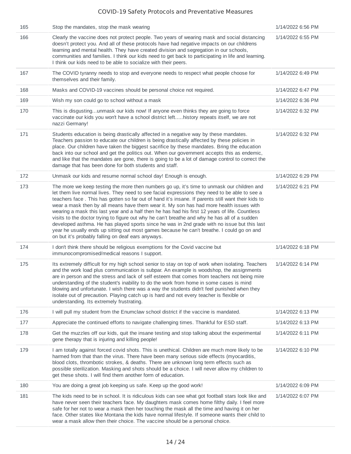| 165 | Stop the mandates, stop the mask wearing                                                                                                                                                                                                                                                                                                                                                                                                                                                                                                                                                                                                                                                                                                                                                                                                            | 1/14/2022 6:56 PM |
|-----|-----------------------------------------------------------------------------------------------------------------------------------------------------------------------------------------------------------------------------------------------------------------------------------------------------------------------------------------------------------------------------------------------------------------------------------------------------------------------------------------------------------------------------------------------------------------------------------------------------------------------------------------------------------------------------------------------------------------------------------------------------------------------------------------------------------------------------------------------------|-------------------|
| 166 | Clearly the vaccine does not protect people. Two years of wearing mask and social distancing<br>doesn't protect you. And all of these protocols have had negative impacts on our childrens<br>learning and mental health. They have created division and segregation in our schools,<br>communities and families. I think our kids need to get back to participating in life and learning.<br>I think our kids need to be able to socialize with their peers.                                                                                                                                                                                                                                                                                                                                                                                       | 1/14/2022 6:55 PM |
| 167 | The COVID tyranny needs to stop and everyone needs to respect what people choose for<br>themselves and their family.                                                                                                                                                                                                                                                                                                                                                                                                                                                                                                                                                                                                                                                                                                                                | 1/14/2022 6:49 PM |
| 168 | Masks and COVID-19 vaccines should be personal choice not required.                                                                                                                                                                                                                                                                                                                                                                                                                                                                                                                                                                                                                                                                                                                                                                                 | 1/14/2022 6:47 PM |
| 169 | Wish my son could go to school without a mask                                                                                                                                                                                                                                                                                                                                                                                                                                                                                                                                                                                                                                                                                                                                                                                                       | 1/14/2022 6:36 PM |
| 170 | This is disgustingunmask our kids now! If anyone even thinks they are going to force<br>vaccinate our kids you won't have a school district lefthistory repeats itself, we are not<br>nazzi Germany!                                                                                                                                                                                                                                                                                                                                                                                                                                                                                                                                                                                                                                                | 1/14/2022 6:32 PM |
| 171 | Students education is being drastically affected in a negative way by these mandates.<br>Teachers passion to educate our children is being drastically affected by these policies in<br>place. Our children have taken the biggest sacrifice by these mandates. Bring the education<br>back into our school and get the politics out. When our government accepts this as endemic,<br>and like that the mandates are gone, there is going to be a lot of damage control to correct the<br>damage that has been done for both students and staff.                                                                                                                                                                                                                                                                                                    | 1/14/2022 6:32 PM |
| 172 | Unmask our kids and resume normal school day! Enough is enough.                                                                                                                                                                                                                                                                                                                                                                                                                                                                                                                                                                                                                                                                                                                                                                                     | 1/14/2022 6:29 PM |
| 173 | The more we keep testing the more then numbers go up, it's time to unmask our children and<br>let them live normal lives. They need to see facial expressions they need to be able to see a<br>teachers face. This has gotten so far out of hand it's insane. If parents still want their kids to<br>wear a mask then by all means have them wear it. My son has had more health issues with<br>wearing a mask this last year and a half then he has had his first 12 years of life. Countless<br>visits to the doctor trying to figure out why he can't breathe and why he has all of a sudden<br>developed asthma. He has played sports since he was in 2nd grade with no issue but this last<br>year he usually ends up sitting out most games because he can't breathe. I could go on and<br>on but it's probably falling on deaf ears anyways. | 1/14/2022 6:21 PM |
| 174 | I don't think there should be religious exemptions for the Covid vaccine but<br>immunocompromised/medical reasons I support.                                                                                                                                                                                                                                                                                                                                                                                                                                                                                                                                                                                                                                                                                                                        | 1/14/2022 6:18 PM |
| 175 | Its extremely difficult for my high school senior to stay on top of work when isolating. Teachers<br>and the work load plus communication is subpar. An example is woodshop, the assignments<br>are in person and the stress and lack of self esteem that comes from teachers not being mire<br>understanding of the student's inability to do the work from home in some cases is mind<br>blowing and unfortunate. I wish there was a way the students didn't feel punished when they<br>isolate out of precaution. Playing catch up is hard and not every teacher is flexible or<br>understanding. Its extremely frustrating.                                                                                                                                                                                                                     | 1/14/2022 6:14 PM |
| 176 | I will pull my student from the Enumclaw school district if the vaccine is mandated.                                                                                                                                                                                                                                                                                                                                                                                                                                                                                                                                                                                                                                                                                                                                                                | 1/14/2022 6:13 PM |
| 177 | Appreciate the continued efforts to navigate challenging times. Thankful for ESD staff.                                                                                                                                                                                                                                                                                                                                                                                                                                                                                                                                                                                                                                                                                                                                                             | 1/14/2022 6:13 PM |
| 178 | Get the muzzles off our kids, quit the insane testing and stop talking about the experimental<br>gene therapy that is injuring and killing people!                                                                                                                                                                                                                                                                                                                                                                                                                                                                                                                                                                                                                                                                                                  | 1/14/2022 6:11 PM |
| 179 | I am totally against forced covid shots. This is unethical. Children are much more likely to be<br>harmed from that than the virus. There have been many serious side effects (myocarditis,<br>blood clots, thrombotic strokes, & deaths. There are unknown long term effects such as<br>possible sterilization. Masking and shots should be a choice. I will never allow my children to<br>get these shots. I will find them another form of education.                                                                                                                                                                                                                                                                                                                                                                                            | 1/14/2022 6:10 PM |
| 180 | You are doing a great job keeping us safe. Keep up the good work!                                                                                                                                                                                                                                                                                                                                                                                                                                                                                                                                                                                                                                                                                                                                                                                   | 1/14/2022 6:09 PM |
| 181 | The kids need to be in school. It is ridiculous kids can see what got football stars look like and<br>have never seen their teachers face. My daughters mask comes home filthy daily. I feel more<br>safe for her not to wear a mask then her touching the mask all the time and having it on her<br>face. Other states like Montana the kids have normal lifestyle. If someone wants their child to<br>wear a mask allow then their choice. The vaccine should be a personal choice.                                                                                                                                                                                                                                                                                                                                                               | 1/14/2022 6:07 PM |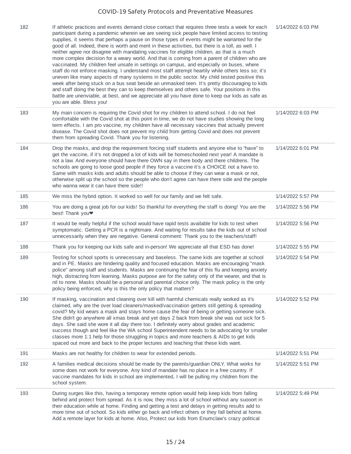| 182 | If athletic practices and events demand close contact that requires three tests a week for each<br>participant during a pandemic wherein we are seeing sick people have limited access to testing<br>supplies, it seems that perhaps a pause on those types of events might be warranted for the<br>good of all. Indeed, there is worth and merit in these activities, but there is a toll, as well. I<br>neither agree nor disagree with mandating vaccines for eligible children, as that is a much<br>more complex decision for a weary world. And that is coming from a parent of children who are<br>vaccinated. My children feel unsafe in settings on campus, and especially on buses, where<br>staff do not enforce masking. I understand most staff attempt heartily while others less so; it's<br>uneven like many aspects of many systems in the public sector. My child tested positive this<br>week after being stuck on a bus seat beside an unmasked teen. It's pretty discouraging to kids<br>and staff doing the best they can to keep themselves and others safe. Your positions in this<br>battle are unenviable, at best, and we appreciate all you have done to keep our kids as safe as<br>you are able. Bless you! | 1/14/2022 6:03 PM |
|-----|-------------------------------------------------------------------------------------------------------------------------------------------------------------------------------------------------------------------------------------------------------------------------------------------------------------------------------------------------------------------------------------------------------------------------------------------------------------------------------------------------------------------------------------------------------------------------------------------------------------------------------------------------------------------------------------------------------------------------------------------------------------------------------------------------------------------------------------------------------------------------------------------------------------------------------------------------------------------------------------------------------------------------------------------------------------------------------------------------------------------------------------------------------------------------------------------------------------------------------------------|-------------------|
| 183 | My main concern is requiring the Covid shot for my children to attend school. I do not feel<br>comfortable with the Covid shot at this point in time, we do not have studies showing the long<br>term effects. I am pro vaccine, my children have all necessary vaccines that actually prevent<br>disease. The Covid shot does not prevent my child from getting Covid and does not prevent<br>them from spreading Covid. Thank you for listening.                                                                                                                                                                                                                                                                                                                                                                                                                                                                                                                                                                                                                                                                                                                                                                                        | 1/14/2022 6:03 PM |
| 184 | Drop the masks, and drop the requirement forcing staff students and anyone else to "have" to<br>get the vaccine, if it's not dropped a lot of kids will be homeschooled next year! A mandate is<br>not a law. And everyone should have there OWN say in there body and there childrens. The<br>schools are going to loose good people if they force a vaccine it's a CHOICE not a have to.<br>Same with masks kids and adults should be able to choose if they can wear a mask or not,<br>otherwise split up the school so the people who don't agree can have there side and the people<br>who wanna wear it can have there side!!                                                                                                                                                                                                                                                                                                                                                                                                                                                                                                                                                                                                       | 1/14/2022 6:01 PM |
| 185 | We miss the hybrid option. It worked so well for our family and we felt safe.                                                                                                                                                                                                                                                                                                                                                                                                                                                                                                                                                                                                                                                                                                                                                                                                                                                                                                                                                                                                                                                                                                                                                             | 1/14/2022 5:57 PM |
| 186 | You are doing a great job for our kids! So thankful for everything the staff is doing! You are the<br>best! Thank you <sup>•</sup>                                                                                                                                                                                                                                                                                                                                                                                                                                                                                                                                                                                                                                                                                                                                                                                                                                                                                                                                                                                                                                                                                                        | 1/14/2022 5:56 PM |
| 187 | It would be really helpful if the school would have rapid tests available for kids to test when<br>symptomatic. Getting a PCR is a nightmare. And waiting for results take the kids out of school<br>unnecessarily when they are negative. General comment: Thank you to the teachers/staff!                                                                                                                                                                                                                                                                                                                                                                                                                                                                                                                                                                                                                                                                                                                                                                                                                                                                                                                                              | 1/14/2022 5:56 PM |
| 188 | Thank you for keeping our kids safe and in-person! We appreciate all that ESD has done!                                                                                                                                                                                                                                                                                                                                                                                                                                                                                                                                                                                                                                                                                                                                                                                                                                                                                                                                                                                                                                                                                                                                                   | 1/14/2022 5:55 PM |
| 189 | Testing for school sports is unnecessary and baseless. The same kids are together at school<br>and in PE. Masks are hindering quality and focused education. Masks are encouraging "mask<br>police" among staff and students. Masks are continuing the fear of this flu and keeping anxiety<br>high, distracting from learning. Masks purpose are for the safety only of the wearer, and that is<br>nil to none. Masks should be a personal and parental choice only. The mask policy is the only<br>policy being enforced, why is this the only policy that matters?                                                                                                                                                                                                                                                                                                                                                                                                                                                                                                                                                                                                                                                                     | 1/14/2022 5:54 PM |
| 190 | If masking, vaccination and cleaning over kill with harmful chemicals really worked as it's<br>claimed, why are the over load cleaners/masked/vaccination getters still getting & spreading<br>covid? My kid wears a mask and stays home cause the fear of being or getting someone sick.<br>She didn't go anywhere all xmas break and yet days 2 back from break she was out sick for 5<br>days. She said she wore it all day there too. I definitely worry about grades and academic<br>success though and feel like the WA school Superintendent needs to be advocating for smaller<br>classes more 1:1 help for those struggling in topics and more teachers & AIDs to get kids<br>spaced out more and back to the proper lectures and teaching that these kids want.                                                                                                                                                                                                                                                                                                                                                                                                                                                                 | 1/14/2022 5:52 PM |
| 191 | Masks are not healthy for children to wear for extended periods.                                                                                                                                                                                                                                                                                                                                                                                                                                                                                                                                                                                                                                                                                                                                                                                                                                                                                                                                                                                                                                                                                                                                                                          | 1/14/2022 5:51 PM |
| 192 | A families medical decisions should be made by the parents/guardian ONLY. What works for<br>some does not work for everyone. Any kind of mandate has no place in a free country. If<br>vaccine mandates for kids in school are implemented, I will be pulling my children from the<br>school system.                                                                                                                                                                                                                                                                                                                                                                                                                                                                                                                                                                                                                                                                                                                                                                                                                                                                                                                                      | 1/14/2022 5:51 PM |
| 193 | During surges like this, having a temporary remote option would help keep kids from falling<br>behind and protect from spread. As it is now, they miss a lot of school without any suooort in<br>their education while at home. Finding and getting a test and delays in getting results add to<br>more time out of school. So kids either go back and infect others or they fall behind at home.<br>Add a remote layer for kids at home. Also, Protect our kids from Enumclaw's crazy political                                                                                                                                                                                                                                                                                                                                                                                                                                                                                                                                                                                                                                                                                                                                          | 1/14/2022 5:49 PM |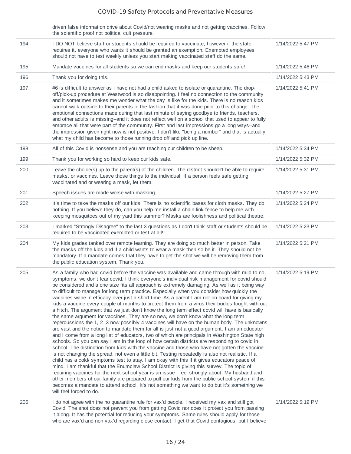| driven false information drive about Covid/not wearing masks and not getting vaccines. Follow |  |
|-----------------------------------------------------------------------------------------------|--|
| the scientific proof not political cult pressure.                                             |  |

| 194 | I DO NOT believe staff or students should be required to vaccinate, however if the state<br>requires it, everyone who wants it should be granted an exemption. Exempted employees<br>should not have to test weekly unless you start making vaccinated staff do the same.                                                                                                                                                                                                                                                                                                                                                                                                                                                                                                                                                                                                                                                                                                                                                                                                                                                                                                                                                                                                                                                                                                                                                                                                                                                                                                                                                                                                                                                                                                                                                                                                                                                | 1/14/2022 5:47 PM |
|-----|--------------------------------------------------------------------------------------------------------------------------------------------------------------------------------------------------------------------------------------------------------------------------------------------------------------------------------------------------------------------------------------------------------------------------------------------------------------------------------------------------------------------------------------------------------------------------------------------------------------------------------------------------------------------------------------------------------------------------------------------------------------------------------------------------------------------------------------------------------------------------------------------------------------------------------------------------------------------------------------------------------------------------------------------------------------------------------------------------------------------------------------------------------------------------------------------------------------------------------------------------------------------------------------------------------------------------------------------------------------------------------------------------------------------------------------------------------------------------------------------------------------------------------------------------------------------------------------------------------------------------------------------------------------------------------------------------------------------------------------------------------------------------------------------------------------------------------------------------------------------------------------------------------------------------|-------------------|
| 195 | Mandate vaccines for all students so we can end masks and keep our students safe!                                                                                                                                                                                                                                                                                                                                                                                                                                                                                                                                                                                                                                                                                                                                                                                                                                                                                                                                                                                                                                                                                                                                                                                                                                                                                                                                                                                                                                                                                                                                                                                                                                                                                                                                                                                                                                        | 1/14/2022 5:46 PM |
| 196 | Thank you for doing this.                                                                                                                                                                                                                                                                                                                                                                                                                                                                                                                                                                                                                                                                                                                                                                                                                                                                                                                                                                                                                                                                                                                                                                                                                                                                                                                                                                                                                                                                                                                                                                                                                                                                                                                                                                                                                                                                                                | 1/14/2022 5:43 PM |
| 197 | #6 is difficult to answer as I have not had a child asked to isolate or quarantine. The drop-<br>off/pick-up procedure at Westwood is so disappointing. I feel no connection to the community<br>and it sometimes makes me wonder what the day is like for the kids. There is no reason kids<br>cannot walk outside to their parents in the fashion that it was done prior to this change. The<br>emotional connections made during that last minute of saying goodbye to friends, teachers,<br>and other adults is missing--and it does not reflect well on a school that used to appear to fully<br>embrace all that were part of the community. First and last impressions go a long ways--and<br>the impression given right now is not positive. I don't like "being a number" and that is actually<br>what my child has become to those running drop off and pick up line.                                                                                                                                                                                                                                                                                                                                                                                                                                                                                                                                                                                                                                                                                                                                                                                                                                                                                                                                                                                                                                          | 1/14/2022 5:41 PM |
| 198 | All of this Covid is nonsense and you are teaching our children to be sheep.                                                                                                                                                                                                                                                                                                                                                                                                                                                                                                                                                                                                                                                                                                                                                                                                                                                                                                                                                                                                                                                                                                                                                                                                                                                                                                                                                                                                                                                                                                                                                                                                                                                                                                                                                                                                                                             | 1/14/2022 5:34 PM |
| 199 | Thank you for working so hard to keep our kids safe.                                                                                                                                                                                                                                                                                                                                                                                                                                                                                                                                                                                                                                                                                                                                                                                                                                                                                                                                                                                                                                                                                                                                                                                                                                                                                                                                                                                                                                                                                                                                                                                                                                                                                                                                                                                                                                                                     | 1/14/2022 5:32 PM |
| 200 | Leave the choice(s) up to the parent(s) of the children. The district shouldn't be able to require<br>masks, or vaccines. Leave those things to the individual. If a person feels safe getting<br>vaccinated and or wearing a mask, let them.                                                                                                                                                                                                                                                                                                                                                                                                                                                                                                                                                                                                                                                                                                                                                                                                                                                                                                                                                                                                                                                                                                                                                                                                                                                                                                                                                                                                                                                                                                                                                                                                                                                                            | 1/14/2022 5:31 PM |
| 201 | Speech issues are made worse with masking                                                                                                                                                                                                                                                                                                                                                                                                                                                                                                                                                                                                                                                                                                                                                                                                                                                                                                                                                                                                                                                                                                                                                                                                                                                                                                                                                                                                                                                                                                                                                                                                                                                                                                                                                                                                                                                                                | 1/14/2022 5:27 PM |
| 202 | It's time to take the masks off our kids. There is no scientific bases for cloth masks. They do<br>nothing. If you believe they do, can you help me install a chain-link fence to help me with<br>keeping mosquitoes out of my yard this summer? Masks are foolishness and political theatre.                                                                                                                                                                                                                                                                                                                                                                                                                                                                                                                                                                                                                                                                                                                                                                                                                                                                                                                                                                                                                                                                                                                                                                                                                                                                                                                                                                                                                                                                                                                                                                                                                            | 1/14/2022 5:24 PM |
| 203 | I marked "Strongly Disagree" to the last 3 questions as I don't think staff or students should be<br>required to be vaccinated exempted or test at all!!                                                                                                                                                                                                                                                                                                                                                                                                                                                                                                                                                                                                                                                                                                                                                                                                                                                                                                                                                                                                                                                                                                                                                                                                                                                                                                                                                                                                                                                                                                                                                                                                                                                                                                                                                                 | 1/14/2022 5:23 PM |
| 204 | My kids grades tanked over remote learning. They are doing so much better in person. Take<br>the masks off the kids and if a child wants to wear a mask then so be it. They should not be<br>mandatory. If a mandate comes that they have to get the shot we will be removing them from<br>the public education system. Thank you.                                                                                                                                                                                                                                                                                                                                                                                                                                                                                                                                                                                                                                                                                                                                                                                                                                                                                                                                                                                                                                                                                                                                                                                                                                                                                                                                                                                                                                                                                                                                                                                       | 1/14/2022 5:21 PM |
| 205 | As a family who had covid before the vaccine was available and came through with mild to no<br>symptoms, we don't fear covid. I think everyone's individual risk management for covid should<br>be considered and a one size fits all approach is extremely damaging. As well as it being way<br>to difficult to manage for long term practice. Especially when you consider how quickly the<br>vaccines wane in efficacy over just a short time. As a parent I am not on board for giving my<br>kids a vaccine every couple of months to protect them from a virus their bodies fought with out<br>a hitch. The argument that we just don't know the long term effect covid will have is basically<br>the same argument for vaccines. They are so new, we don't know what the long term<br>repercussions the 1, 2, 3 now possibly 4 vaccines will have on the human body. The unknowns<br>are vast and the notion to mandate them for all is just not a good argument. I am an educator<br>and I come from a long list of educators, two of which are principals in Washington State high<br>schools. So you can say I am in the loop of how certain districts are responding to covid in<br>school. The distinction from kids with the vaccine and those who have not gotten the vaccine<br>is not changing the spread, not even a little bit. Testing repeatedly is also not realistic. If a<br>child has a cold/ symptoms test to stay. I am okay with this if it gives educators peace of<br>mind. I am thankful that the Enumclaw School District is giving this survey. The topic of<br>requiring vaccines for the next school year is an issue I feel strongly about. My husband and<br>other members of our family are prepared to pull our kids from the public school system if this<br>becomes a mandate to attend school. It's not something we want to do but it's something we<br>will feel forced to do. | 1/14/2022 5:19 PM |
| 206 | I do not agree with the no quarantine rule for vax'd people. I received my vax and still got<br>Covid. The shot does not prevent you from getting Covid nor does it protect you from passing<br>it along. It has the potential for reducing your symptoms. Same rules should apply for those<br>who are vax'd and non vax'd regarding close contact. I get that Covid contagious, but I believe                                                                                                                                                                                                                                                                                                                                                                                                                                                                                                                                                                                                                                                                                                                                                                                                                                                                                                                                                                                                                                                                                                                                                                                                                                                                                                                                                                                                                                                                                                                          | 1/14/2022 5:19 PM |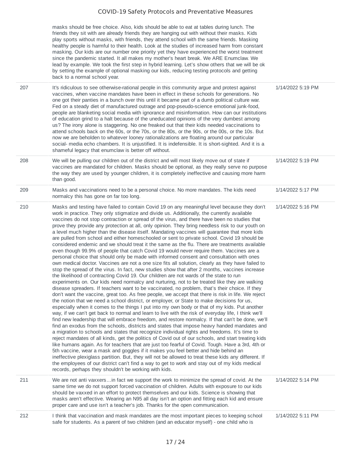masks should be free choice. Also, kids should be able to eat at tables during lunch. The friends they sit with are already friends they are hanging out with without their masks. Kids play sports without masks, with friends, they attend school with the same friends. Masking healthy people is harmful to their health. Look at the studies of increased harm from constant masking. Our kids are our number one priority yet they have experienced the worst treatment since the pandemic started. It all makes my mother's heart break. We ARE Enumclaw. We lead by example. We took the first step in hybrid learning. Let's show others that we will be ok by setting the example of optional masking our kids, reducing testing protocols and getting back to a normal school year.

| 207 | It's ridiculous to see otherwise-rational people in this community argue and protest against<br>vaccines, when vaccine mandates have been in effect in these schools for generations. No<br>one got their panties in a bunch over this until it became part of a dumb political culture war.<br>Fed on a steady diet of manufactured outrage and pop-pseudo-science emotional junk-food,<br>people are blanketing social media with ignorance and misinformation. How can our institutions<br>of education grind to a halt because of the uneducated opinions of the very dumbest among<br>us? The irony alone is staggering. No one freaked out that their kids needed vaccinations to<br>attend schools back on the 60s, or the 70s, or the 80s, or the 90s, or the 00s, or the 10s. But<br>now we are beholden to whatever looney rationalizations are floating around our particular<br>social- media echo chambers. It is unjustified. It is indefensible. It is short-sighted. And it is a<br>shameful legacy that enumclaw is better off without.                                                                                                                                                                                                                                                                                                                                                                                                                                                                                                                                                                                                                                                                                                                                                                                                                                                                                                                                                                                                                                                                                                                                                                                                                                                                                                                                                                                                                                                                                                                                                                                                                             | 1/14/2022 5:19 PM |
|-----|--------------------------------------------------------------------------------------------------------------------------------------------------------------------------------------------------------------------------------------------------------------------------------------------------------------------------------------------------------------------------------------------------------------------------------------------------------------------------------------------------------------------------------------------------------------------------------------------------------------------------------------------------------------------------------------------------------------------------------------------------------------------------------------------------------------------------------------------------------------------------------------------------------------------------------------------------------------------------------------------------------------------------------------------------------------------------------------------------------------------------------------------------------------------------------------------------------------------------------------------------------------------------------------------------------------------------------------------------------------------------------------------------------------------------------------------------------------------------------------------------------------------------------------------------------------------------------------------------------------------------------------------------------------------------------------------------------------------------------------------------------------------------------------------------------------------------------------------------------------------------------------------------------------------------------------------------------------------------------------------------------------------------------------------------------------------------------------------------------------------------------------------------------------------------------------------------------------------------------------------------------------------------------------------------------------------------------------------------------------------------------------------------------------------------------------------------------------------------------------------------------------------------------------------------------------------------------------------------------------------------------------------------------------------------------------|-------------------|
| 208 | We will be pulling our children out of the district and will most likely move out of state if<br>vaccines are mandated for children. Masks should be optional, as they really serve no purpose<br>the way they are used by younger children, it is completely ineffective and causing more harm<br>than good.                                                                                                                                                                                                                                                                                                                                                                                                                                                                                                                                                                                                                                                                                                                                                                                                                                                                                                                                                                                                                                                                                                                                                                                                                                                                                                                                                                                                                                                                                                                                                                                                                                                                                                                                                                                                                                                                                                                                                                                                                                                                                                                                                                                                                                                                                                                                                                        | 1/14/2022 5:19 PM |
| 209 | Masks and vaccinations need to be a personal choice. No more mandates. The kids need<br>normalcy this has gone on far too long.                                                                                                                                                                                                                                                                                                                                                                                                                                                                                                                                                                                                                                                                                                                                                                                                                                                                                                                                                                                                                                                                                                                                                                                                                                                                                                                                                                                                                                                                                                                                                                                                                                                                                                                                                                                                                                                                                                                                                                                                                                                                                                                                                                                                                                                                                                                                                                                                                                                                                                                                                      | 1/14/2022 5:17 PM |
| 210 | Masks and testing have failed to contain Covid 19 on any meaningful level because they don't<br>work in practice. They only stigmatize and divide us. Additionally, the currently available<br>vaccines do not stop contraction or spread of the virus, and there have been no studies that<br>prove they provide any protection at all, only opinion. They bring needless risk to our youth on<br>a level much higher than the disease itself. Mandating vaccines will guarantee that more kids<br>are pulled from school and either homeschooled or sent to private school. Covid 19 should be<br>considered endemic and we should treat it the same as the flu. There are treatments available<br>even though 99.9% of people that catch Covid 19 would never require them. Vaccines are a<br>personal choice that should only be made with informed consent and consultation with ones<br>own medical doctor. Vaccines are not a one size fits all solution, clearly as they have failed to<br>stop the spread of the virus. In fact, new studies show that after 2 months, vaccines increase<br>the likelihood of contracting Covid 19. Our children are not wards of the state to run<br>experiments on. Our kids need normalcy and nurturing, not to be treated like they are walking<br>disease spreaders. If teachers want to be vaccinated, no problem, that's their choice. If they<br>don't want the vaccine, great too. As free people, we accept that there is risk in life. We reject<br>the notion that we need a school district, or employer, or State to make decisions for us,<br>especially when it comes to the things I put into my own body or that of my kids. Put another<br>way, if we can't get back to normal and learn to live with the risk of everyday life, I think we'll<br>find new leadership that will embrace freedom, and restore normalcy. If that can't be done, we'll<br>find an exodus from the schools, districts and states that impose heavy handed mandates and<br>a migration to schools and states that recognize individual rights and freedoms. It's time to<br>reject mandates of all kinds, get the politics of Covid out of our schools, and start treating kids<br>like humans again. As for teachers that are just too fearful of Covid. Tough. Have a 3rd, 4th or<br>5th vaccine, wear a mask and goggles if it makes you feel better and hide behind an<br>ineffective plexiglass partition. But, they will not be allowed to treat these kids any different. If<br>the employees of our district can't find a way to get to work and stay out of my kids medical<br>records, perhaps they shouldn't be working with kids. | 1/14/2022 5:16 PM |
| 211 | We are not anti vaxxersin fact we support the work to minimize the spread of covid. At the<br>same time we do not support forced vaccination of children. Adults with exposure to our kids<br>should be vaxxed in an effort to protect themselves and our kids. Science is showing that<br>masks aren't effective. Wearing an N95 all day isn't an option and fitting each kid and ensure<br>proper care and use isn't a teacher's job. Thanks for the open communication.                                                                                                                                                                                                                                                                                                                                                                                                                                                                                                                                                                                                                                                                                                                                                                                                                                                                                                                                                                                                                                                                                                                                                                                                                                                                                                                                                                                                                                                                                                                                                                                                                                                                                                                                                                                                                                                                                                                                                                                                                                                                                                                                                                                                           | 1/14/2022 5:14 PM |
| 212 | I think that vaccination and mask mandates are the most important pieces to keeping school<br>safe for students. As a parent of two children (and an educator myself) - one child who is                                                                                                                                                                                                                                                                                                                                                                                                                                                                                                                                                                                                                                                                                                                                                                                                                                                                                                                                                                                                                                                                                                                                                                                                                                                                                                                                                                                                                                                                                                                                                                                                                                                                                                                                                                                                                                                                                                                                                                                                                                                                                                                                                                                                                                                                                                                                                                                                                                                                                             | 1/14/2022 5:11 PM |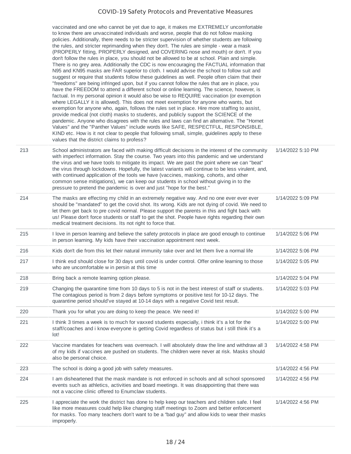|     | vaccinated and one who cannot be yet due to age, it makes me EXTREMELY uncomfortable<br>to know there are unvaccinated individuals and worse, people that do not follow masking<br>policies. Additionally, there needs to be stricter supervision of whether students are following<br>the rules, and stricter reprimanding when they don't. The rules are simple - wear a mask<br>(PROPERLY fitting, PROPERLY designed, and COVERING nose and mouth) or don't. If you<br>don't follow the rules in place, you should not be allowed to be at school. Plain and simple.<br>There is no grey area. Additionally the CDC is now encouraging the FACTUAL information that<br>N95 and KN95 masks are FAR superior to cloth. I would advise the school to follow suit and<br>suggest or require that students follow these guidelines as well. People often claim that their<br>"freedoms" are being infringed upon, but if you cannot follow the rules that are in place, you<br>have the FREEDOM to attend a different school or online learning. The science, however, is<br>factual. In my personal opinion it would also be wise to REQUIRE vaccination (or exemption<br>where LEGALLY it is allowed). This does not meet exemption for anyone who wants, but<br>exemption for anyone who, again, follows the rules set in place. Hire more staffing to assist,<br>provide medical (not cloth) masks to students, and publicly support the SCIENCE of the<br>pandemic. Anyone who disagrees with the rules and laws can find an alternative. The "Hornet<br>Values" and the "Panther Values" include words like SAFE, RESPECTFUL, RESPONSIBLE,<br>KIND etc. How is it not clear to people that following small, simple, guidelines apply to these<br>values that the district claims to profess? |                   |
|-----|--------------------------------------------------------------------------------------------------------------------------------------------------------------------------------------------------------------------------------------------------------------------------------------------------------------------------------------------------------------------------------------------------------------------------------------------------------------------------------------------------------------------------------------------------------------------------------------------------------------------------------------------------------------------------------------------------------------------------------------------------------------------------------------------------------------------------------------------------------------------------------------------------------------------------------------------------------------------------------------------------------------------------------------------------------------------------------------------------------------------------------------------------------------------------------------------------------------------------------------------------------------------------------------------------------------------------------------------------------------------------------------------------------------------------------------------------------------------------------------------------------------------------------------------------------------------------------------------------------------------------------------------------------------------------------------------------------------------------------------------------------------------------------------------------|-------------------|
| 213 | School administrators are faced with making difficult decisions in the interest of the community<br>with imperfect information. Stay the course. Two years into this pandemic and we understand<br>the virus and we have tools to mitigate its impact. We are past the point where we can "beat"<br>the virus through lockdowns. Hopefully, the latest variants will continue to be less virulent, and,<br>with continued application of the tools we have (vaccines, masking, cohorts, and other<br>common sense mitigations), we can keep our students in school without giving in to the<br>pressure to pretend the pandemic is over and just "hope for the best."                                                                                                                                                                                                                                                                                                                                                                                                                                                                                                                                                                                                                                                                                                                                                                                                                                                                                                                                                                                                                                                                                                                            | 1/14/2022 5:10 PM |
| 214 | The masks are effecting my child in an extremely negative way. And no one ever ever ever<br>should be "mandated" to get the covid shot. Its wrong. Kids are not dying of covid. We need to<br>let them get back to pre covid normal. Please support the parents in this and fight back with<br>us! Please don't force students or staff to get the shot. People have rights regarding their own<br>medical treatment decisions. Its not right to force that.                                                                                                                                                                                                                                                                                                                                                                                                                                                                                                                                                                                                                                                                                                                                                                                                                                                                                                                                                                                                                                                                                                                                                                                                                                                                                                                                     | 1/14/2022 5:09 PM |
| 215 | I love in person learning and believe the safety protocols in place are good enough to continue<br>in person learning. My kids have their vaccination appointment next week.                                                                                                                                                                                                                                                                                                                                                                                                                                                                                                                                                                                                                                                                                                                                                                                                                                                                                                                                                                                                                                                                                                                                                                                                                                                                                                                                                                                                                                                                                                                                                                                                                     | 1/14/2022 5:06 PM |
| 216 | Kids don't die from this let their natural immunity take over and let them live a normal life                                                                                                                                                                                                                                                                                                                                                                                                                                                                                                                                                                                                                                                                                                                                                                                                                                                                                                                                                                                                                                                                                                                                                                                                                                                                                                                                                                                                                                                                                                                                                                                                                                                                                                    | 1/14/2022 5:06 PM |
| 217 | I think esd should close for 30 days until covid is under control. Offer online learning to those<br>who are uncomfortable w in persin at this time                                                                                                                                                                                                                                                                                                                                                                                                                                                                                                                                                                                                                                                                                                                                                                                                                                                                                                                                                                                                                                                                                                                                                                                                                                                                                                                                                                                                                                                                                                                                                                                                                                              | 1/14/2022 5:05 PM |
| 218 | Bring back a remote learning option please.                                                                                                                                                                                                                                                                                                                                                                                                                                                                                                                                                                                                                                                                                                                                                                                                                                                                                                                                                                                                                                                                                                                                                                                                                                                                                                                                                                                                                                                                                                                                                                                                                                                                                                                                                      | 1/14/2022 5:04 PM |
| 219 | Changing the quarantine time from 10 days to 5 is not in the best interest of staff or students.<br>The contagious period is from 2 days before symptoms or positive test for 10-12 days. The<br>quarantine period should've stayed at 10-14 days with a negative Covid test result.                                                                                                                                                                                                                                                                                                                                                                                                                                                                                                                                                                                                                                                                                                                                                                                                                                                                                                                                                                                                                                                                                                                                                                                                                                                                                                                                                                                                                                                                                                             | 1/14/2022 5:03 PM |
| 220 | Thank you for what you are doing to keep the peace. We need it!                                                                                                                                                                                                                                                                                                                                                                                                                                                                                                                                                                                                                                                                                                                                                                                                                                                                                                                                                                                                                                                                                                                                                                                                                                                                                                                                                                                                                                                                                                                                                                                                                                                                                                                                  | 1/14/2022 5:00 PM |
| 221 | I think 3 times a week is to much for vaxxed students especially, i think it's a lot for the<br>staff/coaches and i know everyone is getting Covid regardless of status but i still think it's a<br>lot!                                                                                                                                                                                                                                                                                                                                                                                                                                                                                                                                                                                                                                                                                                                                                                                                                                                                                                                                                                                                                                                                                                                                                                                                                                                                                                                                                                                                                                                                                                                                                                                         | 1/14/2022 5:00 PM |
| 222 | Vaccine mandates for teachers was overreach. I will absolutely draw the line and withdraw all 3<br>of my kids if vaccines are pushed on students. The children were never at risk. Masks should<br>also be personal choice.                                                                                                                                                                                                                                                                                                                                                                                                                                                                                                                                                                                                                                                                                                                                                                                                                                                                                                                                                                                                                                                                                                                                                                                                                                                                                                                                                                                                                                                                                                                                                                      | 1/14/2022 4:58 PM |
| 223 | The school is doing a good job with safety measures.                                                                                                                                                                                                                                                                                                                                                                                                                                                                                                                                                                                                                                                                                                                                                                                                                                                                                                                                                                                                                                                                                                                                                                                                                                                                                                                                                                                                                                                                                                                                                                                                                                                                                                                                             | 1/14/2022 4:56 PM |
| 224 | I am disheartened that the mask mandate is not enforced in schools and all school sponsored<br>events such as athletics, activities and board meetings. It was disappointing that there was<br>not a vaccine clinic offered to Enumclaw students.                                                                                                                                                                                                                                                                                                                                                                                                                                                                                                                                                                                                                                                                                                                                                                                                                                                                                                                                                                                                                                                                                                                                                                                                                                                                                                                                                                                                                                                                                                                                                | 1/14/2022 4:56 PM |
| 225 | I appreciate the work the district has done to help keep our teachers and children safe. I feel<br>like more measures could help like changing staff meetings to Zoom and better enforcement<br>for masks. Too many teachers don't want to be a "bad guy" and allow kids to wear their masks<br>improperly.                                                                                                                                                                                                                                                                                                                                                                                                                                                                                                                                                                                                                                                                                                                                                                                                                                                                                                                                                                                                                                                                                                                                                                                                                                                                                                                                                                                                                                                                                      | 1/14/2022 4:56 PM |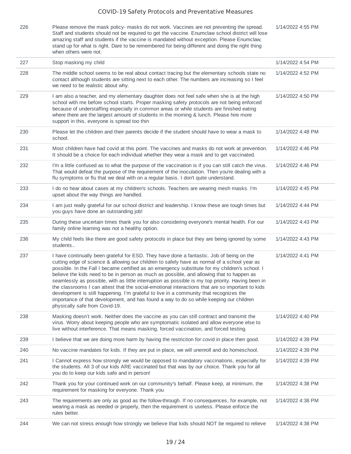| 1/14/2022 4:55 PM |  |
|-------------------|--|
|                   |  |

| 226 | Please remove the mask policy- masks do not work. Vaccines are not preventing the spread.<br>Staff and students should not be required to get the vaccine. Enumclaw school district will lose<br>amazing staff and students if the vaccine is mandated without exception. Please Enumclaw,<br>stand up for what is right. Dare to be remembered for being different and doing the right thing<br>when others were not.                                                                                                                                                                                                                                                                                                                                                                                                      | 1/14/2022 4:55 PM |
|-----|-----------------------------------------------------------------------------------------------------------------------------------------------------------------------------------------------------------------------------------------------------------------------------------------------------------------------------------------------------------------------------------------------------------------------------------------------------------------------------------------------------------------------------------------------------------------------------------------------------------------------------------------------------------------------------------------------------------------------------------------------------------------------------------------------------------------------------|-------------------|
| 227 | Stop masking my child                                                                                                                                                                                                                                                                                                                                                                                                                                                                                                                                                                                                                                                                                                                                                                                                       | 1/14/2022 4:54 PM |
| 228 | The middle school seems to be real about contact tracing but the elementary schools state no<br>contact although students are sitting next to each other. The numbers are increasing so I feel<br>we need to be realistic about why.                                                                                                                                                                                                                                                                                                                                                                                                                                                                                                                                                                                        | 1/14/2022 4:52 PM |
| 229 | I am also a teacher, and my elementary daughter does not feel safe when she is at the high<br>school with me before school starts. Proper masking safety protocols are not being enforced<br>because of understaffing especially in common areas or while students are finished eating<br>where there are the largest amount of students in the morning & lunch. Please hire more<br>support in this, everyone is spread too thin                                                                                                                                                                                                                                                                                                                                                                                           | 1/14/2022 4:50 PM |
| 230 | Please let the children and their parents decide if the student should have to wear a mask to<br>school.                                                                                                                                                                                                                                                                                                                                                                                                                                                                                                                                                                                                                                                                                                                    | 1/14/2022 4:48 PM |
| 231 | Most children have had covid at this point. The vaccines and masks do not work at prevention.<br>It should be a choice for each individual whether they wear a mask and to get vaccinated.                                                                                                                                                                                                                                                                                                                                                                                                                                                                                                                                                                                                                                  | 1/14/2022 4:46 PM |
| 232 | I'm a little confused as to what the purpose of the vaccination is if you can still catch the virus.<br>That would defeat the purpose of the requirement of the inoculation. Then you're dealing with a<br>flu symptoms or flu that we deal with on a regular basis. I don't quite understand.                                                                                                                                                                                                                                                                                                                                                                                                                                                                                                                              | 1/14/2022 4:46 PM |
| 233 | I do no hear about cases at my children's schools. Teachers are wearing mesh masks. I'm<br>upset about the way things are handled.                                                                                                                                                                                                                                                                                                                                                                                                                                                                                                                                                                                                                                                                                          | 1/14/2022 4:45 PM |
| 234 | I am just really grateful for our school district and leadership. I know these are tough times but<br>you guys have done an outstanding job!                                                                                                                                                                                                                                                                                                                                                                                                                                                                                                                                                                                                                                                                                | 1/14/2022 4:44 PM |
| 235 | During these uncertain times thank you for also considering everyone's mental health. For our<br>family online learning was not a healthy option.                                                                                                                                                                                                                                                                                                                                                                                                                                                                                                                                                                                                                                                                           | 1/14/2022 4:43 PM |
| 236 | My child feels like there are good safety protocols in place but they are being ignored by some<br>students                                                                                                                                                                                                                                                                                                                                                                                                                                                                                                                                                                                                                                                                                                                 | 1/14/2022 4:43 PM |
| 237 | I have continually been grateful for ESD. They have done a fantastic. Job of being on the<br>cutting edge of science & allowing our children to safely have as normal of a school year as<br>possible. In the Fall I became certified as an emergency substitute for my children's school. I<br>believe the kids need to be in person as much as possible, and allowing that to happen as<br>seamlessly as possible, with as little interruption as possible is my top priority. Having been in<br>the classrooms I can attest that the social-emotional interactions that are so important to kids<br>development is still happening. I'm grateful to live in a community that recognizes the<br>importance of that development, and has found a way to do so while keeping our children<br>physically safe from Covid-19. | 1/14/2022 4:41 PM |
| 238 | Masking doesn't work. Neither does the vaccine as you can still contract and transmit the<br>virus. Worry about keeping people who are symptomatic isolated and allow everyone else to<br>live without interference. That means masking, forced vaccination, and forced testing.                                                                                                                                                                                                                                                                                                                                                                                                                                                                                                                                            | 1/14/2022 4:40 PM |
| 239 | I believe that we are doing more harm by having the restriction for covid in place then good.                                                                                                                                                                                                                                                                                                                                                                                                                                                                                                                                                                                                                                                                                                                               | 1/14/2022 4:39 PM |
| 240 | No vaccine mandates for kids. If they are put in place, we will unenroll and do homeschool.                                                                                                                                                                                                                                                                                                                                                                                                                                                                                                                                                                                                                                                                                                                                 | 1/14/2022 4:39 PM |
| 241 | I Cannot express how strongly we would be opposed to mandatory vaccinations, especially for<br>the students. All 3 of our kids ARE vaccinated but that was by our choice. Thank you for all<br>you do to keep our kids safe and in person!                                                                                                                                                                                                                                                                                                                                                                                                                                                                                                                                                                                  | 1/14/2022 4:39 PM |
| 242 | Thank you for your continued work on our community's behalf. Please keep, at minimum, the<br>requirement for masking for everyone. Thank you                                                                                                                                                                                                                                                                                                                                                                                                                                                                                                                                                                                                                                                                                | 1/14/2022 4:38 PM |
| 243 | The requirements are only as good as the follow-through. If no consequences, for example, not<br>wearing a mask as needed or properly, then the requirement is useless. Please enforce the<br>rules better.                                                                                                                                                                                                                                                                                                                                                                                                                                                                                                                                                                                                                 | 1/14/2022 4:38 PM |
| 244 | We can not stress enough how strongly we believe that kids should NOT be required to relieve                                                                                                                                                                                                                                                                                                                                                                                                                                                                                                                                                                                                                                                                                                                                | 1/14/2022 4:38 PM |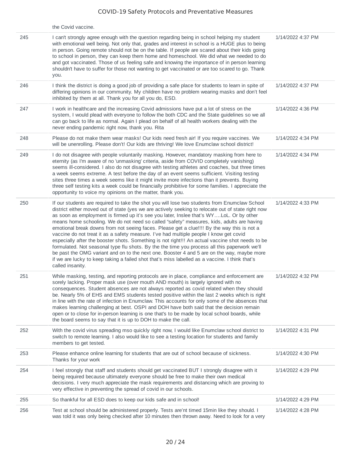|     | the Covid vaccine.                                                                                                                                                                                                                                                                                                                                                                                                                                                                                                                                                                                                                                                                                                                                                                                                                                                                                                                                                                                            |                   |
|-----|---------------------------------------------------------------------------------------------------------------------------------------------------------------------------------------------------------------------------------------------------------------------------------------------------------------------------------------------------------------------------------------------------------------------------------------------------------------------------------------------------------------------------------------------------------------------------------------------------------------------------------------------------------------------------------------------------------------------------------------------------------------------------------------------------------------------------------------------------------------------------------------------------------------------------------------------------------------------------------------------------------------|-------------------|
| 245 | I can't strongly agree enough with the question regarding being in school helping my student<br>with emotional well being. Not only that, grades and interest in school is a HUGE plus to being<br>in person. Going remote should not be on the table. If people are scared about their kids going<br>to school in person, they can keep them home and homeschool. We did what we needed to do<br>and got vaccinated. Those of us feeling safe and knowing the importance of in person learning<br>shouldn't have to suffer for those not wanting to get vaccinated or are too scared to go. Thank<br>you.                                                                                                                                                                                                                                                                                                                                                                                                    | 1/14/2022 4:37 PM |
| 246 | I think the district is doing a good job of providing a safe place for students to learn in spite of<br>differing opinions in our community. My children have no problem wearing masks and don't feel<br>inhibited by them at all. Thank you for all you do, ESD.                                                                                                                                                                                                                                                                                                                                                                                                                                                                                                                                                                                                                                                                                                                                             | 1/14/2022 4:37 PM |
| 247 | I work in healthcare and the increasing Covid admissions have put a lot of stress on the<br>system, I would plead with everyone to follow the both CDC and the State guidelines so we all<br>can go back to life as normal. Again I plead on behalf of all health workers dealing with the<br>never ending pandemic right now, thank you. Rita                                                                                                                                                                                                                                                                                                                                                                                                                                                                                                                                                                                                                                                                | 1/14/2022 4:36 PM |
| 248 | Please do not make them wear masks! Our kids need fresh air! If you require vaccines. We<br>will be unenrolling. Please don't! Our kids are thriving! We love Enumclaw school district!                                                                                                                                                                                                                                                                                                                                                                                                                                                                                                                                                                                                                                                                                                                                                                                                                       | 1/14/2022 4:34 PM |
| 249 | I do not disagree with people voluntarily masking. However, mandatory masking from here to<br>eternity (as I'm aware of no 'unmasking' criteria, aside from COVID completely vanishing)<br>seems ill-considered. I also do not disagree with testing athletes and coaches, but three times<br>a week seems extreme. A test before the day of an event seems sufficient. Visiting testing<br>sites three times a week seems like it might invite more infections than it prevents. Buying<br>three self testing kits a week could be financially prohibitive for some families. I appreciate the<br>opportunity to voice my opinions on the matter, thank you.                                                                                                                                                                                                                                                                                                                                                 | 1/14/2022 4:34 PM |
| 250 | If our students are required to take the shot you will lose two students from Enumclaw School<br>district either moved out of state (yes we are actively seeking to relocate out of state right now<br>as soon as employment is firmed up it's see you later, Inslee that's WYLoL. Or by other<br>means home schooling. We do not need so called "safety" measures, kids, adults are having<br>emotional break downs from not seeing faces. Please get a clue!!!! By the way this is not a<br>vaccine do not treat it as a safety measure. I've had multiple people I know get covid<br>especially after the booster shots. Something is not right!!! An actual vaccine shot needs to be<br>formulated. Not seasonal type flu shots. By the the time you process all this paperwork we'll<br>be past the OMG variant and on to the next one. Booster 4 and 5 are on the way, maybe more<br>if we are lucky to keep taking a failed shot that's miss labelled as a vaccine. I think that's<br>called insanity. | 1/14/2022 4:33 PM |
| 251 | While masking, testing, and reporting protocols are in place, compliance and enforcement are<br>sorely lacking. Proper mask use (over mouth AND mouth) is largely ignored with no<br>consequences. Student absences are not always reported as covid related when they should<br>be. Nearly 5% of EHS and EMS students tested positive within the last 2 weeks which is right<br>in line with the rate of infection in Enumclaw. This accounts for only some of the absences that<br>makes learning challenging at best. OSPI and DOH have both said that the decision remain<br>open or to close for in-person learning is one that's to be made by local school boards, while<br>the board seems to say that it is up to DOH to make the call.                                                                                                                                                                                                                                                              | 1/14/2022 4:32 PM |
| 252 | With the covid virus spreading mso quickly right now, I would like Enumclaw school district to<br>switch to remote learning. I also would like to see a testing location for students and family<br>members to get tested.                                                                                                                                                                                                                                                                                                                                                                                                                                                                                                                                                                                                                                                                                                                                                                                    | 1/14/2022 4:31 PM |
| 253 | Please enhance online learning for students that are out of school because of sickness.<br>Thanks for your work                                                                                                                                                                                                                                                                                                                                                                                                                                                                                                                                                                                                                                                                                                                                                                                                                                                                                               | 1/14/2022 4:30 PM |
| 254 | I feel strongly that staff and students should get vaccinated BUT I strongly disagree with it<br>being required because ultimately everyone should be free to make their own medical<br>decisions. I very much appreciate the mask requirements and distancing which are proving to<br>very effective in preventing the spread of covid in our schools.                                                                                                                                                                                                                                                                                                                                                                                                                                                                                                                                                                                                                                                       | 1/14/2022 4:29 PM |
| 255 | So thankful for all ESD does to keep our kids safe and in school!                                                                                                                                                                                                                                                                                                                                                                                                                                                                                                                                                                                                                                                                                                                                                                                                                                                                                                                                             | 1/14/2022 4:29 PM |
| 256 | Test at school should be administered properly. Tests are'nt timed 15min like they should. I<br>was told it was only being checked after 10 minutes then thrown away. Need to look for a very                                                                                                                                                                                                                                                                                                                                                                                                                                                                                                                                                                                                                                                                                                                                                                                                                 | 1/14/2022 4:28 PM |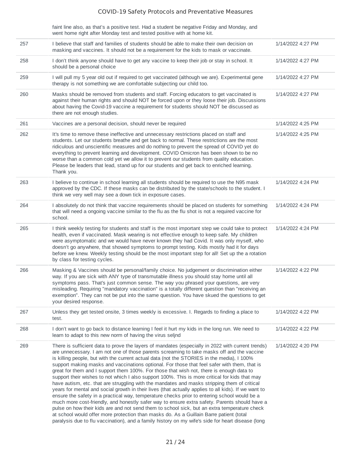| faint line also, as that's a positive test. Had a student be negative Friday and Monday, and |
|----------------------------------------------------------------------------------------------|
| went home right after Monday test and tested positive with at home kit.                      |

| 257 | I believe that staff and families of students should be able to make their own decision on<br>masking and vaccines. It should not be a requirement for the kids to mask or vaccinate.                                                                                                                                                                                                                                                                                                                                                                                                                                                                                                                                                                                                                                                                                                                                                                                                                                                                                                                                                                                                                                                                                                                | 1/14/2022 4:27 PM |
|-----|------------------------------------------------------------------------------------------------------------------------------------------------------------------------------------------------------------------------------------------------------------------------------------------------------------------------------------------------------------------------------------------------------------------------------------------------------------------------------------------------------------------------------------------------------------------------------------------------------------------------------------------------------------------------------------------------------------------------------------------------------------------------------------------------------------------------------------------------------------------------------------------------------------------------------------------------------------------------------------------------------------------------------------------------------------------------------------------------------------------------------------------------------------------------------------------------------------------------------------------------------------------------------------------------------|-------------------|
| 258 | I don't think anyone should have to get any vaccine to keep their job or stay in school. It<br>should be a personal choice                                                                                                                                                                                                                                                                                                                                                                                                                                                                                                                                                                                                                                                                                                                                                                                                                                                                                                                                                                                                                                                                                                                                                                           | 1/14/2022 4:27 PM |
| 259 | I will pull my 5 year old out if required to get vaccinated (although we are). Experimental gene<br>therapy is not something we are comfortable subjecting our child too.                                                                                                                                                                                                                                                                                                                                                                                                                                                                                                                                                                                                                                                                                                                                                                                                                                                                                                                                                                                                                                                                                                                            | 1/14/2022 4:27 PM |
| 260 | Masks should be removed from students and staff. Forcing educators to get vaccinated is<br>against their human rights and should NOT be forced upon or they loose their job. Discussions<br>about having the Covid-19 vaccine a requirement for students should NOT be discussed as<br>there are not enough studies.                                                                                                                                                                                                                                                                                                                                                                                                                                                                                                                                                                                                                                                                                                                                                                                                                                                                                                                                                                                 | 1/14/2022 4:27 PM |
| 261 | Vaccines are a personal decision, should never be required                                                                                                                                                                                                                                                                                                                                                                                                                                                                                                                                                                                                                                                                                                                                                                                                                                                                                                                                                                                                                                                                                                                                                                                                                                           | 1/14/2022 4:25 PM |
| 262 | It's time to remove these ineffective and unnecessary restrictions placed on staff and<br>students. Let our students breathe and get back to normal. These restrictions are the most<br>ridiculous and unscientific measures and do nothing to prevent the spread of COVID yet do<br>everything to prevent learning and development. COVID Omicron has been shown to be no<br>worse than a common cold yet we allow it to prevent our students from quality education.<br>Please be leaders that lead, stand up for our students and get back to enriched learning.<br>Thank you.                                                                                                                                                                                                                                                                                                                                                                                                                                                                                                                                                                                                                                                                                                                    | 1/14/2022 4:25 PM |
| 263 | I believe to continue in school learning all students should be required to use the N95 mask<br>approved by the CDC. If these masks can be distributed by the state/schools to the student. I<br>think we very well may see a down tick in exposure cases.                                                                                                                                                                                                                                                                                                                                                                                                                                                                                                                                                                                                                                                                                                                                                                                                                                                                                                                                                                                                                                           | 1/14/2022 4:24 PM |
| 264 | I absolutely do not think that vaccine requirements should be placed on students for something<br>that will need a ongoing vaccine similar to the flu as the flu shot is not a required vaccine for<br>school.                                                                                                                                                                                                                                                                                                                                                                                                                                                                                                                                                                                                                                                                                                                                                                                                                                                                                                                                                                                                                                                                                       | 1/14/2022 4:24 PM |
| 265 | I think weekly testing for students and staff is the most important step we could take to protect<br>health, even if vaccinated. Mask wearing is not effective enough to keep safe. My children<br>were asymptomatic and we would have never known they had Covid. It was only myself, who<br>doesn't go anywhere, that showed symptoms to prompt testing. Kids mostly had it for days<br>before we knew. Weekly testing should be the most important step for all! Set up the a rotation<br>by class for testing cycles.                                                                                                                                                                                                                                                                                                                                                                                                                                                                                                                                                                                                                                                                                                                                                                            | 1/14/2022 4:24 PM |
| 266 | Masking & Vaccines should be personal/family choice. No judgement or discrimination either<br>way. If you are sick with ANY type of transmutable illness you should stay home until all<br>symptoms pass. That's just common sense. The way you phrased your questions, are very<br>misleading. Requiring "mandatory vaccination" is a totally different question than "receiving an<br>exemption". They can not be put into the same question. You have skued the questions to get<br>your desired response.                                                                                                                                                                                                                                                                                                                                                                                                                                                                                                                                                                                                                                                                                                                                                                                        | 1/14/2022 4:22 PM |
| 267 | Unless they get tested onsite, 3 times weekly is excessive. I. Regards to finding a place to<br>test.                                                                                                                                                                                                                                                                                                                                                                                                                                                                                                                                                                                                                                                                                                                                                                                                                                                                                                                                                                                                                                                                                                                                                                                                | 1/14/2022 4:22 PM |
| 268 | I don't want to go back to distance learning I feel it hurt my kids in the long run. We need to<br>learn to adapt to this new norm of having the virus seljnd                                                                                                                                                                                                                                                                                                                                                                                                                                                                                                                                                                                                                                                                                                                                                                                                                                                                                                                                                                                                                                                                                                                                        | 1/14/2022 4:22 PM |
| 269 | There is sufficient data to prove the layers of mandates (especially in 2022 with current trends)<br>are unnecessary. I am not one of those parents screaming to take masks off and the vaccine<br>is killing people, but with the current actual data (not the STORIES in the media), I 100%<br>support making masks and vaccinations optional. For those that feel safer with them, that is<br>great for them and I support them 100%. For those that wish not, there is enough data to<br>support their wishes to not which I also support 100%. This is more critical for kids that may<br>have autism, etc. that are struggling with the mandates and masks stripping them of critical<br>years for mental and social growth in their lives (that actually applies to all kids). If we want to<br>ensure the safety in a practical way, temperature checks prior to entering school would be a<br>much more cost-friendly, and honestly safer way to ensure extra safety. Parents should have a<br>pulse on how their kids are and not send them to school sick, but an extra temperature check<br>at school would offer more protection than masks do. As a Guillain Barre patient (total<br>paralysis due to flu vaccination), and a family history on my wife's side for heart disease (long | 1/14/2022 4:20 PM |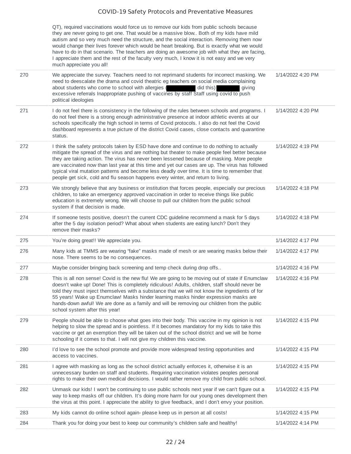QT), required vaccinations would force us to remove our kids from public schools because they are never going to get one. That would be a massive blow.. Both of my kids have mild autism and so very much need the structure, and the social interaction. Removing them now would change their lives forever which would be heart breaking. But is exactly what we would have to do in that scenario. The teachers are doing an awesome job with what they are facing, I appreciate them and the rest of the faculty very much, I know it is not easy and we very much appreciate you all!

|     | much appreciate you all!                                                                                                                                                                                                                                                                                                                                                                                                                                                                                                                                                           |                   |
|-----|------------------------------------------------------------------------------------------------------------------------------------------------------------------------------------------------------------------------------------------------------------------------------------------------------------------------------------------------------------------------------------------------------------------------------------------------------------------------------------------------------------------------------------------------------------------------------------|-------------------|
| 270 | We appreciate the survey. Teachers need to not reprimand students for incorrect masking. We<br>need to deescalate the drama and covid theatric eg teachers on social media complaining<br>about students who come to school with allergies<br>did this)<br>giving<br>excessive referrals Inappropriate pushing of vaccines by staff Staff using covid to push<br>political ideologies                                                                                                                                                                                              | 1/14/2022 4:20 PM |
| 271 | I do not feel there is consistency in the following of the rules between schools and programs. I<br>do not feel there is a strong enough administrative presence at indoor athletic events at our<br>schools specifically the high school in terms of Covid protocols. I also do not feel the Covid<br>dashboard represents a true picture of the district Covid cases, close contacts and quarantine<br>status.                                                                                                                                                                   | 1/14/2022 4:20 PM |
| 272 | I think the safety protocols taken by ESD have done and continue to do nothing to actually<br>mitigate the spread of the virus and are nothing but theater to make people feel better because<br>they are taking action. The virus has never been lessened because of masking. More people<br>are vaccinated now than last year at this time and yet our cases are up. The virus has followed<br>typical viral mutation patterns and become less deadly over time. It is time to remember that<br>people get sick, cold and flu season happens every winter, and return to living. | 1/14/2022 4:19 PM |
| 273 | We strongly believe that any business or institution that forces people, especially our precious<br>children, to take an emergency approved vaccination in order to receive things like public<br>education is extremely wrong. We will choose to pull our children from the public school<br>system if that decision is made.                                                                                                                                                                                                                                                     | 1/14/2022 4:18 PM |
| 274 | If someone tests positive, doesn't the current CDC guideline recommend a mask for 5 days<br>after the 5 day isolation period? What about when students are eating lunch? Don't they<br>remove their masks?                                                                                                                                                                                                                                                                                                                                                                         | 1/14/2022 4:18 PM |
| 275 | You're doing great!! We appreciate you.                                                                                                                                                                                                                                                                                                                                                                                                                                                                                                                                            | 1/14/2022 4:17 PM |
| 276 | Many kids at TMMS are wearing "fake" masks made of mesh or are wearing masks below their<br>nose. There seems to be no consequences.                                                                                                                                                                                                                                                                                                                                                                                                                                               | 1/14/2022 4:17 PM |
| 277 | Maybe consider bringing back screening and temp check during drop offs                                                                                                                                                                                                                                                                                                                                                                                                                                                                                                             | 1/14/2022 4:16 PM |
| 278 | This is all non sense! Covid is the new flu! We are going to be moving out of state if Enumclaw<br>doesn't wake up! Done! This is completely ridiculous! Adults, children, staff should never be<br>told they must inject themselves with a substance that we will not know the ingredients of for<br>55 years! Wake up Enumclaw! Masks hinder learning masks hinder expression masks are<br>hands-down awful! We are done as a family and will be removing our children from the public<br>school system after this year!                                                         | 1/14/2022 4:16 PM |
| 279 | People should be able to choose what goes into their body. This vaccine in my opinion is not<br>helping to slow the spread and is pointless. If it becomes mandatory for my kids to take this<br>vaccine or get an exemption they will be taken out of the school district and we will be home<br>schooling if it comes to that. I will not give my children this vaccine.                                                                                                                                                                                                         | 1/14/2022 4:15 PM |
| 280 | I'd love to see the school promote and provide more widespread testing opportunities and<br>access to vaccines.                                                                                                                                                                                                                                                                                                                                                                                                                                                                    | 1/14/2022 4:15 PM |
| 281 | I agree with masking as long as the school district actually enforces it, otherwise it is an<br>unnecessary burden on staff and students. Requiring vaccination violates peoples personal<br>rights to make their own medical decisions. I would rather remove my child from public school.                                                                                                                                                                                                                                                                                        | 1/14/2022 4:15 PM |
| 282 | Unmask our kids! I won't be continuing to use public schools next year if we can't figure out a<br>way to keep masks off our children. It's doing more harm for our young ones development then<br>the virus at this point. I appreciate the ability to give feedback, and I don't envy your position.                                                                                                                                                                                                                                                                             | 1/14/2022 4:15 PM |
| 283 | My kids cannot do online school again- please keep us in person at all costs!                                                                                                                                                                                                                                                                                                                                                                                                                                                                                                      | 1/14/2022 4:15 PM |
| 284 | Thank you for doing your best to keep our community's children safe and healthy!                                                                                                                                                                                                                                                                                                                                                                                                                                                                                                   | 1/14/2022 4:14 PM |
|     |                                                                                                                                                                                                                                                                                                                                                                                                                                                                                                                                                                                    |                   |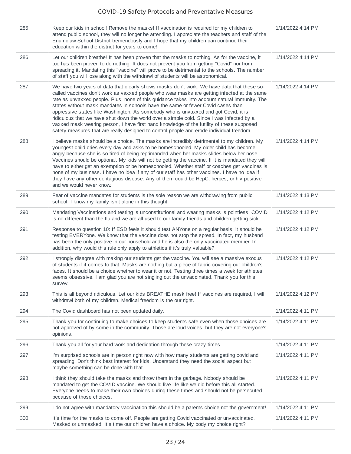| 285 | Keep our kids in school! Remove the masks! If vaccination is required for my children to<br>attend public school, they will no longer be attending. I appreciate the teachers and staff of the<br>Enumclaw School District tremendously and I hope that my children can continue their<br>education within the district for years to come!                                                                                                                                                                                                                                                                                                                                                                                                                 | 1/14/2022 4:14 PM |
|-----|------------------------------------------------------------------------------------------------------------------------------------------------------------------------------------------------------------------------------------------------------------------------------------------------------------------------------------------------------------------------------------------------------------------------------------------------------------------------------------------------------------------------------------------------------------------------------------------------------------------------------------------------------------------------------------------------------------------------------------------------------------|-------------------|
| 286 | Let our children breathe! It has been proven that the masks to nothing. As for the vaccine, it<br>too has been proven to do nothing. It does not prevent you from getting "Covid" nor from<br>spreading it. Mandating this "vaccine" will prove to be detrimental to the schools. The number<br>of staff you will lose along with the withdrawl of students will be astronomical.                                                                                                                                                                                                                                                                                                                                                                          | 1/14/2022 4:14 PM |
| 287 | We have two years of data that clearly shows masks don't work. We have data that these so-<br>called vaccines don't work as vaxxed people who wear masks are getting infected at the same<br>rate as unvaxxed people. Plus, none of this guidance takes into account natural immunity. The<br>states without mask mandates in schools have the same or fewer Covid cases than<br>oppressive states like Washington. As somebody who is unvaxxed and got Covid, it is<br>ridiculous that we have shut down the world over a simple cold. Since I was infected by a<br>vaxxed mask wearing person, I have first hand knowledge of the futility of these supposed<br>safety measures that are really designed to control people and erode individual freedom. | 1/14/2022 4:14 PM |
| 288 | I believe masks should be a choice. The masks are incredibly detrimental to my children. My<br>youngest child cries every day and asks to be homeschooled. My older child has become<br>angry because she is so tired of being reprimanded when her masks slides below her nose.<br>Vaccines should be optional. My kids will not be getting the vaccine. If it is mandated they will<br>have to either get an exemption or be homeschooled. Whether staff or coaches get vaccines is<br>none of my business. I have no idea if any of our staff has other vaccines. I have no idea if<br>they have any other contagious disease. Any of them could be HepC, herpes, or hiv positive<br>and we would never know.                                           | 1/14/2022 4:14 PM |
| 289 | Fear of vaccine mandates for students is the sole reason we are withdrawing from public<br>school. I know my family isn't alone in this thought.                                                                                                                                                                                                                                                                                                                                                                                                                                                                                                                                                                                                           | 1/14/2022 4:13 PM |
| 290 | Mandating Vaccinations and testing is unconstitutional and wearing masks is pointless. COVID<br>is no different than the flu and we are all used to our family friends and children getting sick.                                                                                                                                                                                                                                                                                                                                                                                                                                                                                                                                                          | 1/14/2022 4:12 PM |
| 291 | Response to question 10: If ESD feels it should test ANYone on a regular basis, it should be<br>testing EVERYone. We know that the vaccine does not stop the spread. In fact, my husband<br>has been the only positive in our household and he is also the only vaccinated member. In<br>addition, why would this rule only apply to athletics if it's truly valuable?                                                                                                                                                                                                                                                                                                                                                                                     | 1/14/2022 4:12 PM |
| 292 | I strongly disagree with making our students get the vaccine. You will see a massive exodus<br>of students if it comes to that. Masks are nothing but a piece of fabric covering our children's<br>faces. It should be a choice whether to wear it or not. Testing three times a week for athletes<br>seems obsessive. I am glad you are not singling out the unvaccinated. Thank you for this<br>survey.                                                                                                                                                                                                                                                                                                                                                  | 1/14/2022 4:12 PM |
| 293 | This is all beyond ridiculous. Let our kids BREATHE mask free! If vaccines are required, I will<br>withdrawl both of my children. Medical freedom is the our right.                                                                                                                                                                                                                                                                                                                                                                                                                                                                                                                                                                                        | 1/14/2022 4:12 PM |
| 294 | The Covid dashboard has not been updated daily.                                                                                                                                                                                                                                                                                                                                                                                                                                                                                                                                                                                                                                                                                                            | 1/14/2022 4:11 PM |
| 295 | Thank you for continuing to make choices to keep students safe even when those choices are<br>not approved of by some in the community. Those are loud voices, but they are not everyone's<br>opinions.                                                                                                                                                                                                                                                                                                                                                                                                                                                                                                                                                    | 1/14/2022 4:11 PM |
| 296 | Thank you all for your hard work and dedication through these crazy times.                                                                                                                                                                                                                                                                                                                                                                                                                                                                                                                                                                                                                                                                                 | 1/14/2022 4:11 PM |
| 297 | I'm surprised schools are in person right now with how many students are getting covid and<br>spreading. Don't think best interest for kids. Understand they need the social aspect but<br>maybe something can be done with that.                                                                                                                                                                                                                                                                                                                                                                                                                                                                                                                          | 1/14/2022 4:11 PM |
| 298 | I think they should take the masks and throw them in the garbage. Nobody should be<br>mandated to get the COVID vaccine. We should live life like we did before this all started.<br>Everyone needs to make their own choices during these times and should not be persecuted<br>because of those choices.                                                                                                                                                                                                                                                                                                                                                                                                                                                 | 1/14/2022 4:11 PM |
| 299 | I do not agree with mandatory vaccination this should be a parents choice not the government!                                                                                                                                                                                                                                                                                                                                                                                                                                                                                                                                                                                                                                                              | 1/14/2022 4:11 PM |
| 300 | It's time for the masks to come off. People are getting Covid vaccinated or unvaccinated.<br>Masked or unmasked. It's time our children have a choice. My body my choice right?                                                                                                                                                                                                                                                                                                                                                                                                                                                                                                                                                                            | 1/14/2022 4:11 PM |